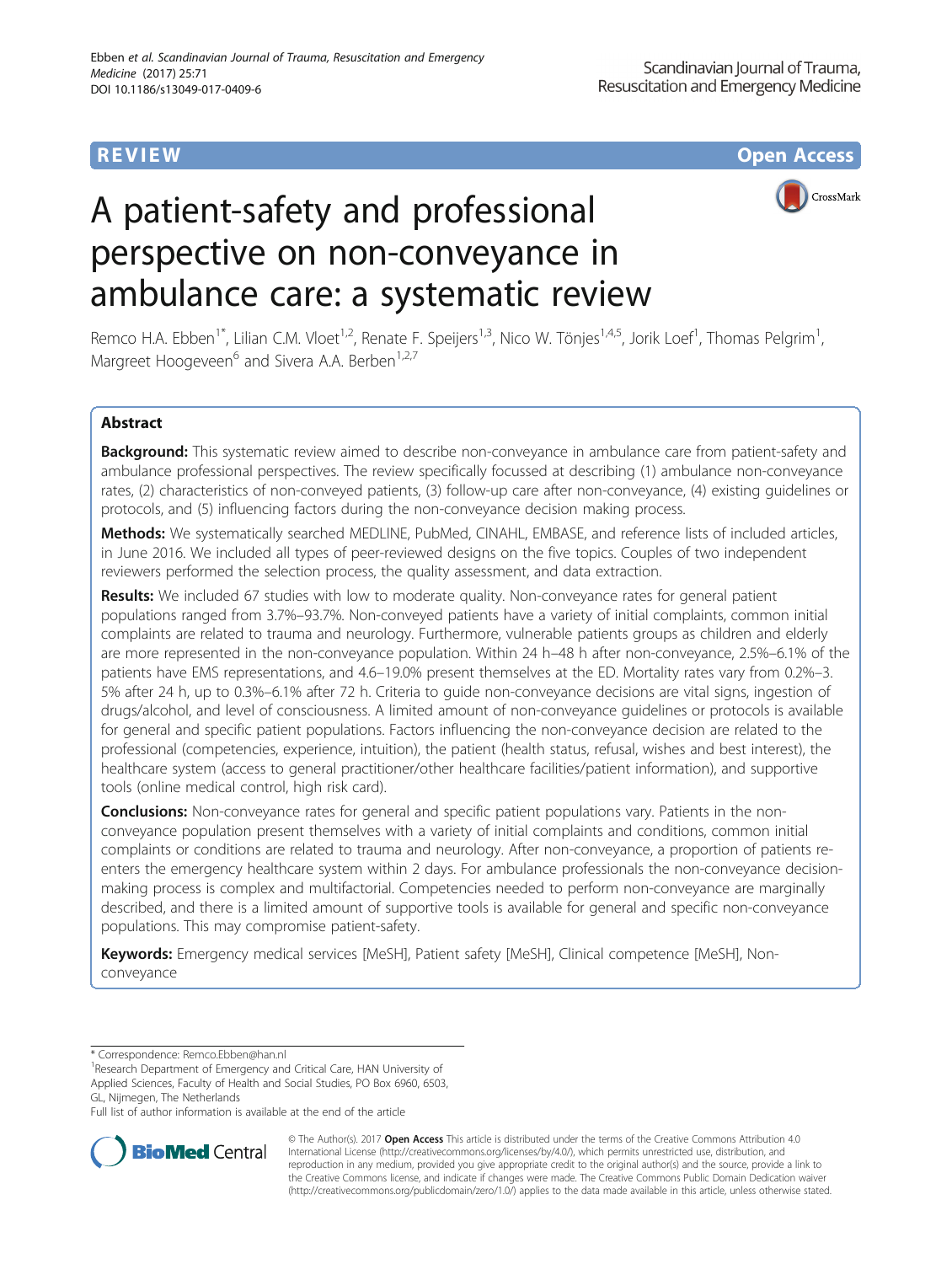**REVIEW ACCESS AND LOCAL CONTRACT CONTRACT OF ACCESS** 

CrossMark

# A patient-safety and professional perspective on non-conveyance in ambulance care: a systematic review

Remco H.A. Ebben<sup>1\*</sup>, Lilian C.M. Vloet<sup>1,2</sup>, Renate F. Speijers<sup>1,3</sup>, Nico W. Tönjes<sup>1,4,5</sup>, Jorik Loef<sup>1</sup>, Thomas Pelgrim<sup>1</sup> , Margreet Hoogeveen<sup>6</sup> and Sivera A.A. Berben<sup>1,2,7</sup>

# Abstract

Background: This systematic review aimed to describe non-conveyance in ambulance care from patient-safety and ambulance professional perspectives. The review specifically focussed at describing (1) ambulance non-conveyance rates, (2) characteristics of non-conveyed patients, (3) follow-up care after non-conveyance, (4) existing guidelines or protocols, and (5) influencing factors during the non-conveyance decision making process.

Methods: We systematically searched MEDLINE, PubMed, CINAHL, EMBASE, and reference lists of included articles, in June 2016. We included all types of peer-reviewed designs on the five topics. Couples of two independent reviewers performed the selection process, the quality assessment, and data extraction.

Results: We included 67 studies with low to moderate quality. Non-conveyance rates for general patient populations ranged from 3.7%–93.7%. Non-conveyed patients have a variety of initial complaints, common initial complaints are related to trauma and neurology. Furthermore, vulnerable patients groups as children and elderly are more represented in the non-conveyance population. Within 24 h–48 h after non-conveyance, 2.5%–6.1% of the patients have EMS representations, and 4.6–19.0% present themselves at the ED. Mortality rates vary from 0.2%–3. 5% after 24 h, up to 0.3%–6.1% after 72 h. Criteria to guide non-conveyance decisions are vital signs, ingestion of drugs/alcohol, and level of consciousness. A limited amount of non-conveyance guidelines or protocols is available for general and specific patient populations. Factors influencing the non-conveyance decision are related to the professional (competencies, experience, intuition), the patient (health status, refusal, wishes and best interest), the healthcare system (access to general practitioner/other healthcare facilities/patient information), and supportive tools (online medical control, high risk card).

**Conclusions:** Non-conveyance rates for general and specific patient populations vary. Patients in the nonconveyance population present themselves with a variety of initial complaints and conditions, common initial complaints or conditions are related to trauma and neurology. After non-conveyance, a proportion of patients reenters the emergency healthcare system within 2 days. For ambulance professionals the non-conveyance decisionmaking process is complex and multifactorial. Competencies needed to perform non-conveyance are marginally described, and there is a limited amount of supportive tools is available for general and specific non-conveyance populations. This may compromise patient-safety.

Keywords: Emergency medical services [MeSH], Patient safety [MeSH], Clinical competence [MeSH], Nonconveyance

\* Correspondence: [Remco.Ebben@han.nl](mailto:Remco.Ebben@han.nl) <sup>1</sup>

<sup>1</sup> Research Department of Emergency and Critical Care, HAN University of Applied Sciences, Faculty of Health and Social Studies, PO Box 6960, 6503, GL, Nijmegen, The Netherlands

Full list of author information is available at the end of the article



© The Author(s). 2017 **Open Access** This article is distributed under the terms of the Creative Commons Attribution 4.0 International License [\(http://creativecommons.org/licenses/by/4.0/](http://creativecommons.org/licenses/by/4.0/)), which permits unrestricted use, distribution, and reproduction in any medium, provided you give appropriate credit to the original author(s) and the source, provide a link to the Creative Commons license, and indicate if changes were made. The Creative Commons Public Domain Dedication waiver [\(http://creativecommons.org/publicdomain/zero/1.0/](http://creativecommons.org/publicdomain/zero/1.0/)) applies to the data made available in this article, unless otherwise stated.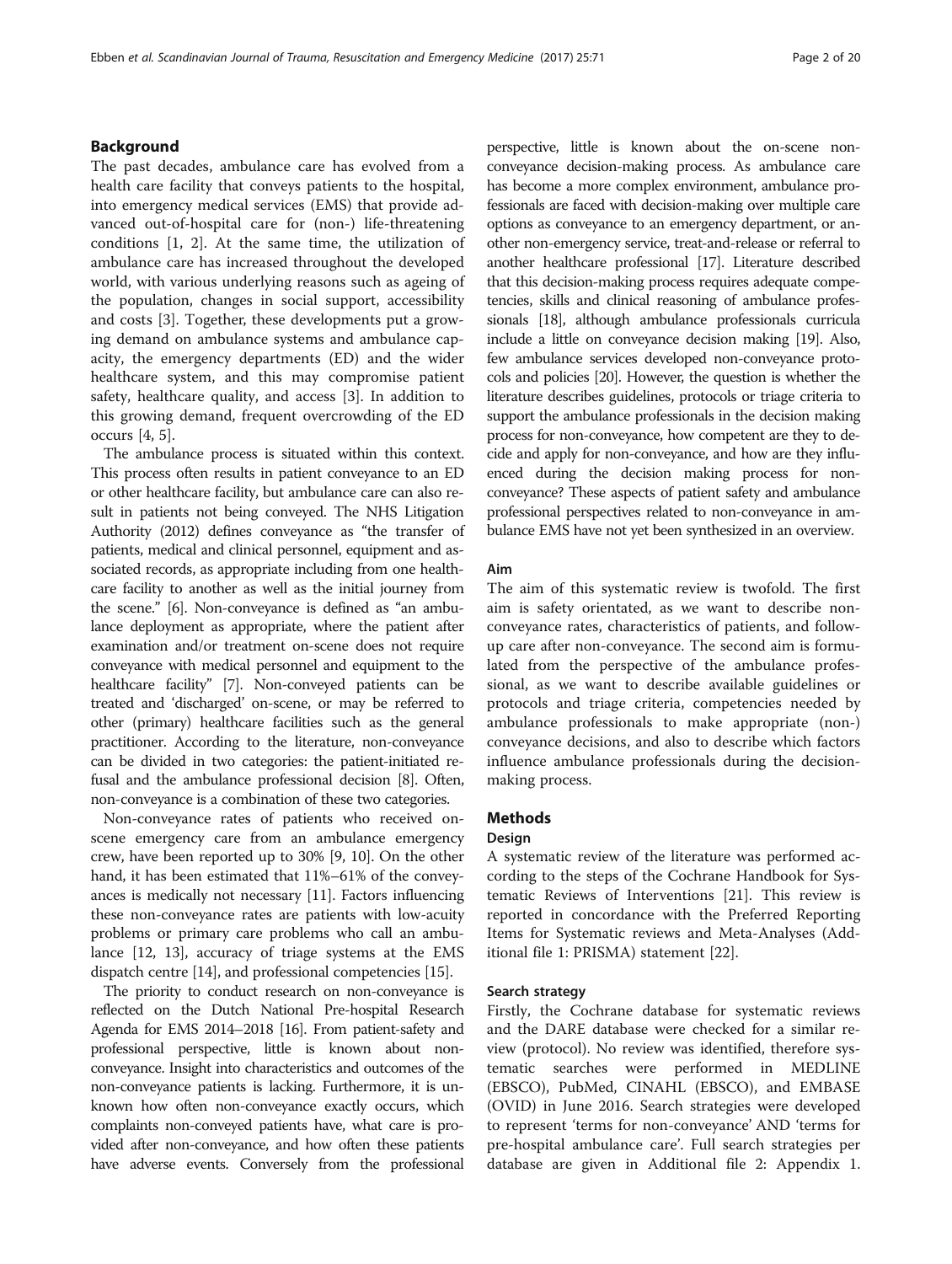# Background

The past decades, ambulance care has evolved from a health care facility that conveys patients to the hospital, into emergency medical services (EMS) that provide advanced out-of-hospital care for (non-) life-threatening conditions [[1](#page-17-0), [2](#page-17-0)]. At the same time, the utilization of ambulance care has increased throughout the developed world, with various underlying reasons such as ageing of the population, changes in social support, accessibility and costs [[3\]](#page-17-0). Together, these developments put a growing demand on ambulance systems and ambulance capacity, the emergency departments (ED) and the wider healthcare system, and this may compromise patient safety, healthcare quality, and access [\[3](#page-17-0)]. In addition to this growing demand, frequent overcrowding of the ED occurs [[4](#page-17-0), [5](#page-17-0)].

The ambulance process is situated within this context. This process often results in patient conveyance to an ED or other healthcare facility, but ambulance care can also result in patients not being conveyed. The NHS Litigation Authority (2012) defines conveyance as "the transfer of patients, medical and clinical personnel, equipment and associated records, as appropriate including from one healthcare facility to another as well as the initial journey from the scene." [[6](#page-17-0)]. Non-conveyance is defined as "an ambulance deployment as appropriate, where the patient after examination and/or treatment on-scene does not require conveyance with medical personnel and equipment to the healthcare facility" [\[7](#page-18-0)]. Non-conveyed patients can be treated and 'discharged' on-scene, or may be referred to other (primary) healthcare facilities such as the general practitioner. According to the literature, non-conveyance can be divided in two categories: the patient-initiated refusal and the ambulance professional decision [[8\]](#page-18-0). Often, non-conveyance is a combination of these two categories.

Non-conveyance rates of patients who received onscene emergency care from an ambulance emergency crew, have been reported up to 30% [\[9](#page-18-0), [10\]](#page-18-0). On the other hand, it has been estimated that 11%–61% of the conveyances is medically not necessary [\[11\]](#page-18-0). Factors influencing these non-conveyance rates are patients with low-acuity problems or primary care problems who call an ambulance [[12](#page-18-0), [13\]](#page-18-0), accuracy of triage systems at the EMS dispatch centre [\[14\]](#page-18-0), and professional competencies [[15](#page-18-0)].

The priority to conduct research on non-conveyance is reflected on the Dutch National Pre-hospital Research Agenda for EMS 2014–2018 [\[16](#page-18-0)]. From patient-safety and professional perspective, little is known about nonconveyance. Insight into characteristics and outcomes of the non-conveyance patients is lacking. Furthermore, it is unknown how often non-conveyance exactly occurs, which complaints non-conveyed patients have, what care is provided after non-conveyance, and how often these patients have adverse events. Conversely from the professional perspective, little is known about the on-scene nonconveyance decision-making process. As ambulance care has become a more complex environment, ambulance professionals are faced with decision-making over multiple care options as conveyance to an emergency department, or another non-emergency service, treat-and-release or referral to another healthcare professional [\[17](#page-18-0)]. Literature described that this decision-making process requires adequate competencies, skills and clinical reasoning of ambulance professionals [\[18](#page-18-0)], although ambulance professionals curricula include a little on conveyance decision making [[19](#page-18-0)]. Also, few ambulance services developed non-conveyance protocols and policies [[20](#page-18-0)]. However, the question is whether the literature describes guidelines, protocols or triage criteria to support the ambulance professionals in the decision making process for non-conveyance, how competent are they to decide and apply for non-conveyance, and how are they influenced during the decision making process for nonconveyance? These aspects of patient safety and ambulance professional perspectives related to non-conveyance in ambulance EMS have not yet been synthesized in an overview.

#### Aim

The aim of this systematic review is twofold. The first aim is safety orientated, as we want to describe nonconveyance rates, characteristics of patients, and followup care after non-conveyance. The second aim is formulated from the perspective of the ambulance professional, as we want to describe available guidelines or protocols and triage criteria, competencies needed by ambulance professionals to make appropriate (non-) conveyance decisions, and also to describe which factors influence ambulance professionals during the decisionmaking process.

# **Methods**

## Design

A systematic review of the literature was performed according to the steps of the [Cochrane Handbook for Sys](http://training.cochrane.org/handbook)[tematic Reviews of Interventions](http://training.cochrane.org/handbook) [[21\]](#page-18-0). This review is reported in concordance with the Preferred Reporting Items for Systematic reviews and Meta-Analyses (Additional file [1:](#page-17-0) PRISMA) statement [\[22\]](#page-18-0).

## Search strategy

Firstly, the Cochrane database for systematic reviews and the DARE database were checked for a similar review (protocol). No review was identified, therefore systematic searches were performed in MEDLINE (EBSCO), PubMed, CINAHL (EBSCO), and EMBASE (OVID) in June 2016. Search strategies were developed to represent 'terms for non-conveyance' AND 'terms for pre-hospital ambulance care'. Full search strategies per database are given in Additional file [2:](#page-17-0) Appendix 1.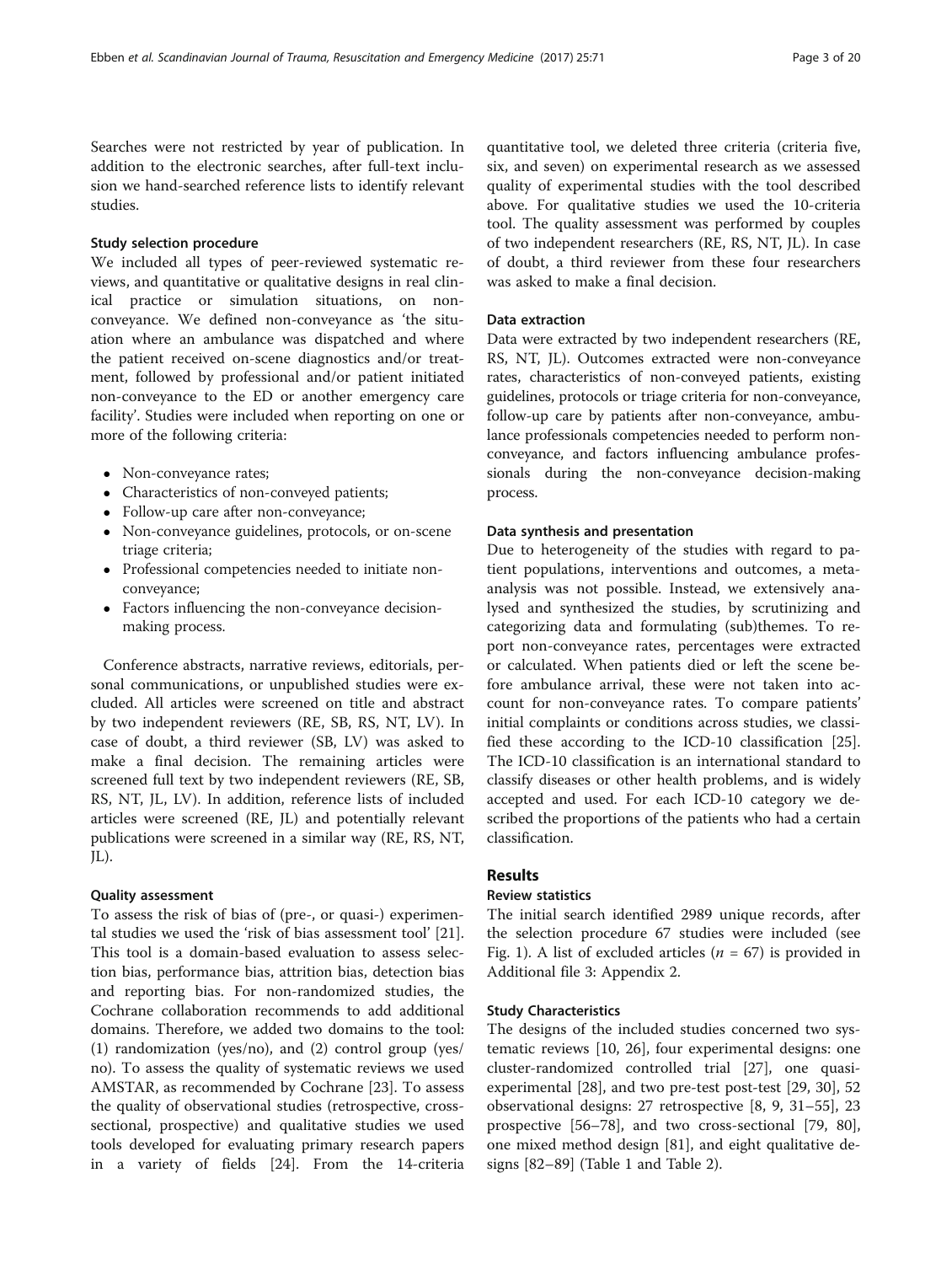Searches were not restricted by year of publication. In addition to the electronic searches, after full-text inclusion we hand-searched reference lists to identify relevant studies.

## Study selection procedure

We included all types of peer-reviewed systematic reviews, and quantitative or qualitative designs in real clinical practice or simulation situations, on nonconveyance. We defined non-conveyance as 'the situation where an ambulance was dispatched and where the patient received on-scene diagnostics and/or treatment, followed by professional and/or patient initiated non-conveyance to the ED or another emergency care facility'. Studies were included when reporting on one or more of the following criteria:

- Non-conveyance rates;
- Characteristics of non-conveyed patients;
- Follow-up care after non-conveyance;
- Non-conveyance guidelines, protocols, or on-scene triage criteria;
- Professional competencies needed to initiate nonconveyance;
- Factors influencing the non-conveyance decisionmaking process.

Conference abstracts, narrative reviews, editorials, personal communications, or unpublished studies were excluded. All articles were screened on title and abstract by two independent reviewers (RE, SB, RS, NT, LV). In case of doubt, a third reviewer (SB, LV) was asked to make a final decision. The remaining articles were screened full text by two independent reviewers (RE, SB, RS, NT, JL, LV). In addition, reference lists of included articles were screened (RE, JL) and potentially relevant publications were screened in a similar way (RE, RS, NT, JL).

## Quality assessment

To assess the risk of bias of (pre-, or quasi-) experimental studies we used the 'risk of bias assessment tool' [\[21](#page-18-0)]. This tool is a domain-based evaluation to assess selection bias, performance bias, attrition bias, detection bias and reporting bias. For non-randomized studies, the Cochrane collaboration recommends to add additional domains. Therefore, we added two domains to the tool: (1) randomization (yes/no), and (2) control group (yes/ no). To assess the quality of systematic reviews we used AMSTAR, as recommended by Cochrane [[23](#page-18-0)]. To assess the quality of observational studies (retrospective, crosssectional, prospective) and qualitative studies we used tools developed for evaluating primary research papers in a variety of fields [\[24\]](#page-18-0). From the 14-criteria quantitative tool, we deleted three criteria (criteria five, six, and seven) on experimental research as we assessed quality of experimental studies with the tool described above. For qualitative studies we used the 10-criteria tool. The quality assessment was performed by couples of two independent researchers (RE, RS, NT, JL). In case of doubt, a third reviewer from these four researchers was asked to make a final decision.

## Data extraction

Data were extracted by two independent researchers (RE, RS, NT, JL). Outcomes extracted were non-conveyance rates, characteristics of non-conveyed patients, existing guidelines, protocols or triage criteria for non-conveyance, follow-up care by patients after non-conveyance, ambulance professionals competencies needed to perform nonconveyance, and factors influencing ambulance professionals during the non-conveyance decision-making process.

## Data synthesis and presentation

Due to heterogeneity of the studies with regard to patient populations, interventions and outcomes, a metaanalysis was not possible. Instead, we extensively analysed and synthesized the studies, by scrutinizing and categorizing data and formulating (sub)themes. To report non-conveyance rates, percentages were extracted or calculated. When patients died or left the scene before ambulance arrival, these were not taken into account for non-conveyance rates. To compare patients' initial complaints or conditions across studies, we classified these according to the ICD-10 classification [\[25](#page-18-0)]. The ICD-10 classification is an international standard to classify diseases or other health problems, and is widely accepted and used. For each ICD-10 category we described the proportions of the patients who had a certain classification.

# **Results**

## Review statistics

The initial search identified 2989 unique records, after the selection procedure 67 studies were included (see Fig. [1](#page-3-0)). A list of excluded articles ( $n = 67$ ) is provided in Additional file [3](#page-17-0): Appendix 2.

# Study Characteristics

The designs of the included studies concerned two systematic reviews [[10, 26](#page-18-0)], four experimental designs: one cluster-randomized controlled trial [\[27\]](#page-18-0), one quasiexperimental [\[28](#page-18-0)], and two pre-test post-test [\[29](#page-18-0), [30](#page-18-0)], 52 observational designs: 27 retrospective [\[8](#page-18-0), [9](#page-18-0), [31](#page-18-0)–[55\]](#page-19-0), 23 prospective [[56](#page-19-0)–[78](#page-19-0)], and two cross-sectional [\[79, 80](#page-19-0)], one mixed method design [\[81\]](#page-19-0), and eight qualitative designs [\[82](#page-19-0)–[89\]](#page-19-0) (Table [1](#page-4-0) and Table [2\)](#page-8-0).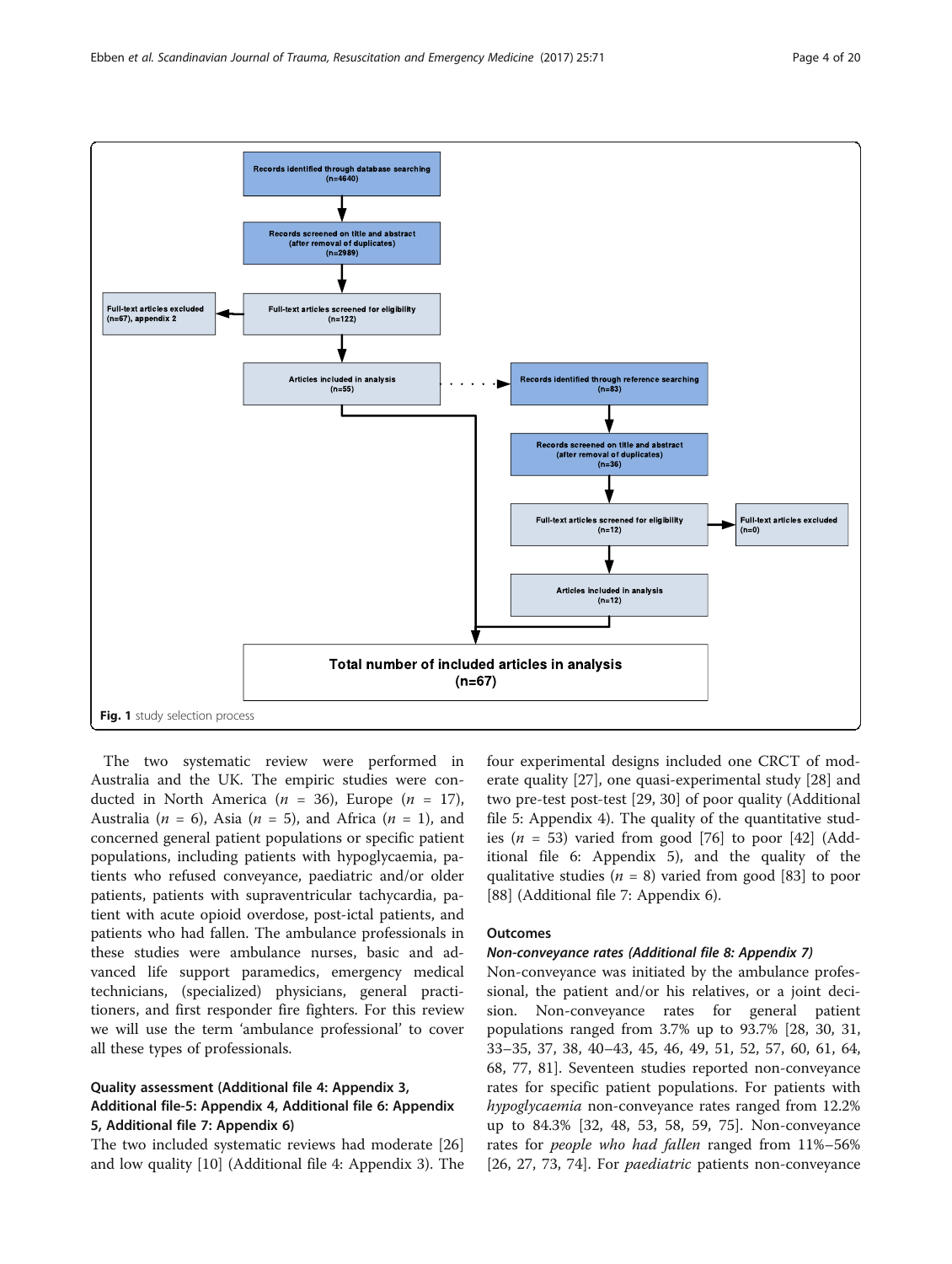<span id="page-3-0"></span>

The two systematic review were performed in Australia and the UK. The empiric studies were conducted in North America ( $n = 36$ ), Europe ( $n = 17$ ), Australia ( $n = 6$ ), Asia ( $n = 5$ ), and Africa ( $n = 1$ ), and concerned general patient populations or specific patient populations, including patients with hypoglycaemia, patients who refused conveyance, paediatric and/or older patients, patients with supraventricular tachycardia, patient with acute opioid overdose, post-ictal patients, and patients who had fallen. The ambulance professionals in these studies were ambulance nurses, basic and advanced life support paramedics, emergency medical technicians, (specialized) physicians, general practitioners, and first responder fire fighters. For this review we will use the term 'ambulance professional' to cover all these types of professionals.

# Quality assessment (Additional file [4](#page-17-0): Appendix 3, Additional file-[5:](#page-17-0) Appendix 4, Additional file [6:](#page-17-0) Appendix 5, Additional file [7:](#page-17-0) Appendix 6)

The two included systematic reviews had moderate [[26](#page-18-0)] and low quality [[10](#page-18-0)] (Additional file [4:](#page-17-0) Appendix 3). The

four experimental designs included one CRCT of moderate quality [[27\]](#page-18-0), one quasi-experimental study [\[28](#page-18-0)] and two pre-test post-test [\[29](#page-18-0), [30\]](#page-18-0) of poor quality (Additional file [5](#page-17-0): Appendix 4). The quality of the quantitative studies ( $n = 53$ ) varied from good [[76](#page-19-0)] to poor [\[42\]](#page-18-0) (Additional file [6:](#page-17-0) Appendix 5), and the quality of the qualitative studies ( $n = 8$ ) varied from good [[83](#page-19-0)] to poor [[88\]](#page-19-0) (Additional file [7](#page-17-0): Appendix 6).

### Outcomes

# Non-conveyance rates (Additional file [8:](#page-17-0) Appendix 7)

Non-conveyance was initiated by the ambulance professional, the patient and/or his relatives, or a joint decision. Non-conveyance rates for general patient populations ranged from 3.7% up to 93.7% [\[28](#page-18-0), [30](#page-18-0), [31](#page-18-0), [33](#page-18-0)–[35](#page-18-0), [37](#page-18-0), [38](#page-18-0), [40](#page-18-0)–[43, 45](#page-18-0), [46](#page-18-0), [49](#page-18-0), [51](#page-18-0), [52,](#page-18-0) [57, 60, 61, 64](#page-19-0), [68, 77, 81\]](#page-19-0). Seventeen studies reported non-conveyance rates for specific patient populations. For patients with hypoglycaemia non-conveyance rates ranged from 12.2% up to 84.3% [\[32](#page-18-0), [48](#page-18-0), [53](#page-19-0), [58, 59, 75\]](#page-19-0). Non-conveyance rates for people who had fallen ranged from 11%–56% [[26, 27](#page-18-0), [73, 74\]](#page-19-0). For paediatric patients non-conveyance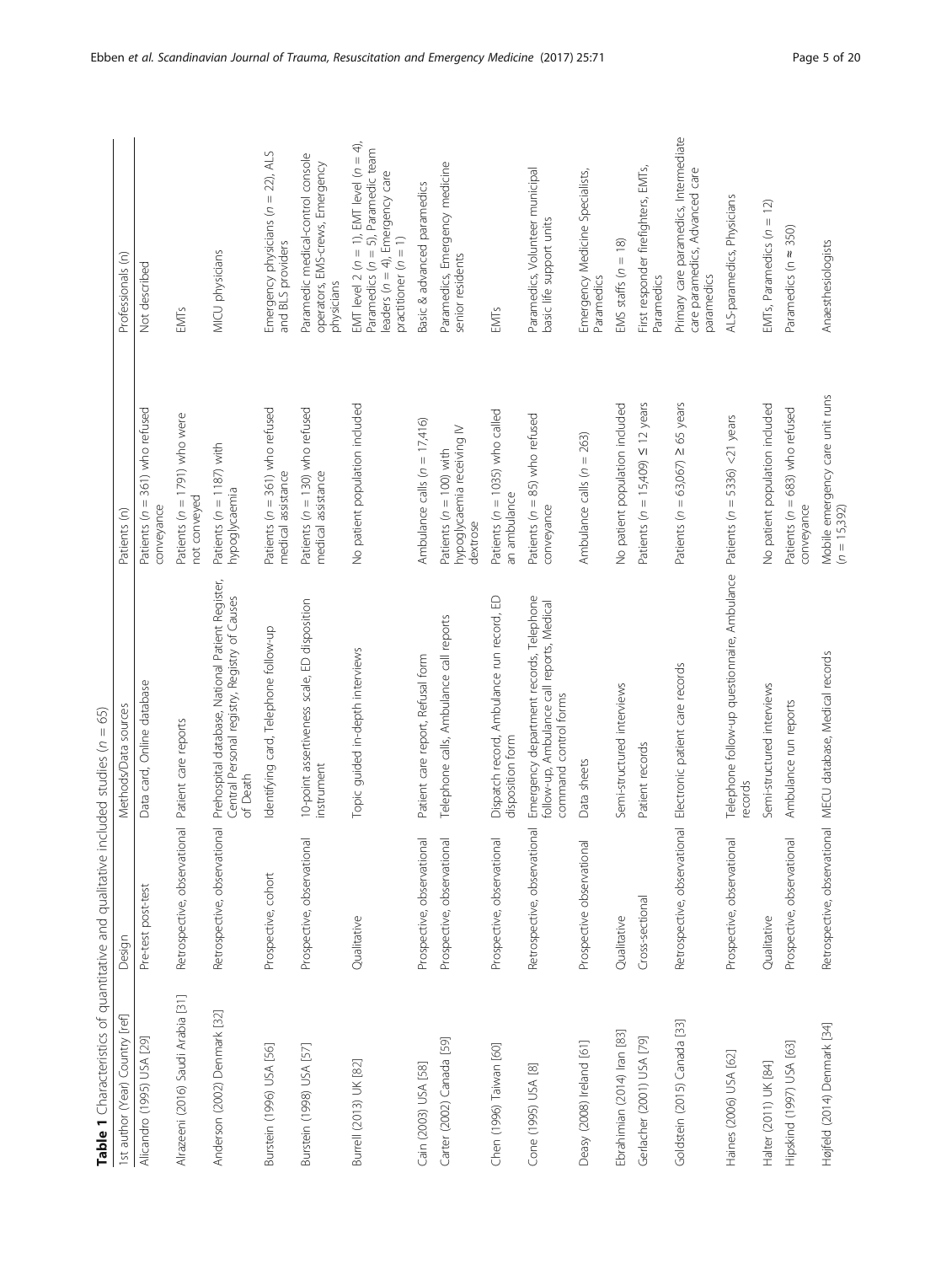<span id="page-4-0"></span>

| Table 1 Characteristics of quantitative and qualitative |                              | included studies $(n = 65)$                                                                                    |                                                                       |                                                                                                                                                        |
|---------------------------------------------------------|------------------------------|----------------------------------------------------------------------------------------------------------------|-----------------------------------------------------------------------|--------------------------------------------------------------------------------------------------------------------------------------------------------|
| 1st author (Year) Country [ref]                         | Design                       | Methods/Data sources                                                                                           | Patients (n)                                                          | Professionals (n)                                                                                                                                      |
| Alicandro (1995) USA [29]                               | Pre-test post-test           | Data card, Online database                                                                                     | 361) who refused<br>Patients $(n =$<br>conveyance                     | Not described                                                                                                                                          |
| Alrazeeni (2016) Saudi Arabia [31]                      | Retrospective, observational | Patient care reports                                                                                           | Patients (n = 1791) who were<br>not conveyed                          | EMTs                                                                                                                                                   |
| Anderson (2002) Denmark [32]                            | Retrospective, observational | Prehospital database, National Patient Register,<br>Central Personal registry, Registry of Causes<br>of Death  | Patients $(n = 1187)$ with<br>hypoglycaemia                           | MICU physicians                                                                                                                                        |
| Burstein (1996) USA [56]                                | Prospective, cohort          | Identifying card, Telephone follow-up                                                                          | Patients (n = 361) who refused<br>medical assistance                  | Emergency physicians ( $n = 22$ ), ALS<br>and BLS providers                                                                                            |
| Burstein (1998) USA [57]                                | Prospective, observational   | 10-point assertiveness scale, ED disposition<br>instrument                                                     | Patients (n = 130) who refused<br>medical assistance                  | Paramedic medical-control console<br>operators, EMS-crews, Emergency<br>physicians                                                                     |
| Burrell (2013) UK [82]                                  | Qualitative                  | Topic guided in-depth interviews                                                                               | No patient population included                                        | EMT level 2 ( $n = 1$ ), EMT level ( $n = 4$ ),<br>Paramedics (n = 5), Paramedic team<br>leaders ( $n = 4$ ), Emergency care<br>practitioner $(n = 1)$ |
| Cain (2003) USA [58]                                    | Prospective, observational   | Patient care report, Refusal form                                                                              | Ambulance calls $(n = 17,416)$                                        | Basic & advanced paramedics                                                                                                                            |
| Carter (2002) Canada [59]                               | Prospective, observational   | Telephone calls, Ambulance call reports                                                                        | hypoglycaemia receiving IV<br>Patients ( $n = 100$ ) with<br>dextrose | Paramedics, Emergency medicine<br>senior residents                                                                                                     |
| Chen (1996) Taiwan [60]                                 | Prospective, observational   | Dispatch record, Ambulance run record, ED<br>disposition form                                                  | Patients (n = 1035) who called<br>an ambulance                        | <b>EMTs</b>                                                                                                                                            |
| Cone (1995) USA [8]                                     | Retrospective, observational | Emergency department records, Telephone<br>follow-up, Ambulance call reports, Medical<br>command control forms | Patients (n = 85) who refused<br>conveyance                           | Paramedics, Volunteer municipal<br>basic life support units                                                                                            |
| Deasy (2008) Ireland [61]                               | Prospective observational    | Data sheets                                                                                                    | Ambulance calls $(n = 263)$                                           | Emergency Medicine Specialists,<br>Paramedics                                                                                                          |
| Ebrahimian (2014) Iran [83]                             | Qualitative                  | Semi-structured interviews                                                                                     | No patient population included                                        | EMS staffs $(n = 18)$                                                                                                                                  |
| Gerlacher (2001) USA [79]                               | Cross-sectional              | Patient records                                                                                                | Patients ( $n = 15,409$ ) $\leq 12$ years                             | First responder firefighters, EMTs,<br>Paramedics                                                                                                      |
| Goldstein (2015) Canada [33]                            | Retrospective, observational | Electronic patient care records                                                                                | Patients ( $n = 63,067$ ) $\geq 65$ years                             | Primary care paramedics, Intermediate<br>care paramedics, Advanced care<br>paramedics                                                                  |
| Haines (2006) USA [62]                                  | Prospective, observational   | Telephone follow-up questionnaire, Ambulance<br>records                                                        | Patients ( $n = 5336$ ) <21 years                                     | ALS-paramedics, Physicians                                                                                                                             |
| Halter (2011) UK [84]                                   | Qualitative                  | Semi-structured interviews                                                                                     | No patient population included                                        | $\widetilde{L}$<br>$EMTs$ , Paramedics ( $n =$                                                                                                         |
| Hipskind (1997) USA [63]                                | Prospective, observational   | Ambulance run reports                                                                                          | Patients (n = 683) who refused<br>conveyance                          | Paramedics ( $n \approx 350$ )                                                                                                                         |
| Højfeld (2014) Denmark [34]                             | Retrospective, observational | MECU database, Medical records                                                                                 | Mobile emergency care unit runs<br>$(n = 15,392)$                     | Anaesthesiologists                                                                                                                                     |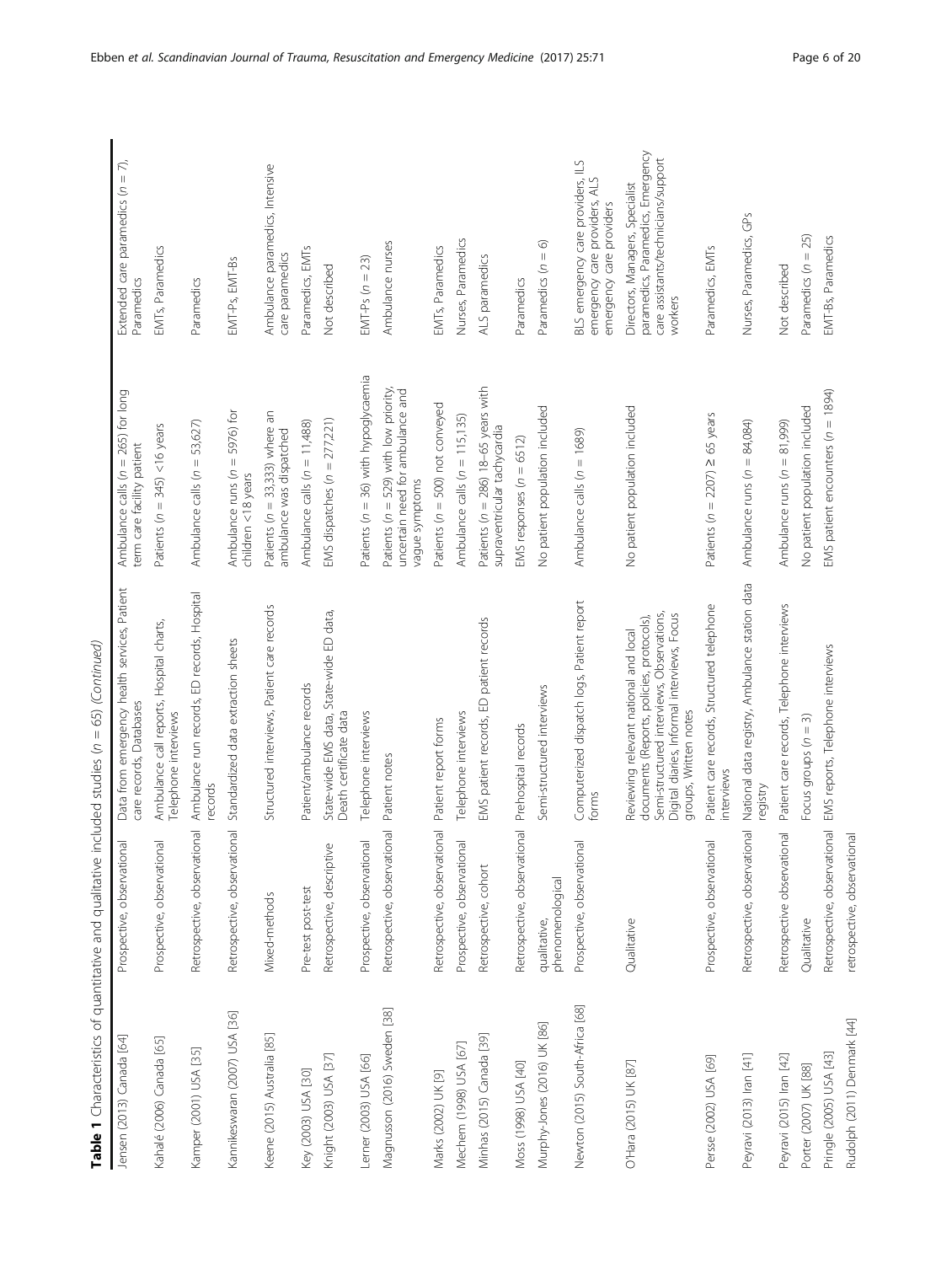|                                 |                                  | Table 1 Characteristics of quantitative and qualitative included studies (n = 65) (Continued)                                                                                                           |                                                                                             |                                                                                                                        |
|---------------------------------|----------------------------------|---------------------------------------------------------------------------------------------------------------------------------------------------------------------------------------------------------|---------------------------------------------------------------------------------------------|------------------------------------------------------------------------------------------------------------------------|
| Jensen (2013) Canada [64]       | Prospective, observational       | Data from emergency health services, Patient<br>care records, Databases                                                                                                                                 | Ambulance calls ( $n = 265$ ) for long<br>term care facility patient                        | Extended care paramedics ( $n = 7$ ),<br>Paramedics                                                                    |
| Kahalé (2006) Canada [65]       | Prospective, observational       | Ambulance call reports, Hospital charts,<br>Telephone interviews                                                                                                                                        | Patients ( $n = 345$ ) <16 years                                                            | EMTs, Paramedics                                                                                                       |
| Kamper (2001) USA [35]          | Retrospective, observational     | Ambulance run records, ED records, Hospital<br>records                                                                                                                                                  | Ambulance calls $(n = 53,627)$                                                              | Paramedics                                                                                                             |
| Kannikeswaran (2007) USA [36]   | Retrospective, observational     | Standardized data extraction sheets                                                                                                                                                                     | 5976) for<br>Ambulance runs ( $n =$<br>children <18 years                                   | EMT-Ps, EMT-Bs                                                                                                         |
| Keene (2015) Australia [85]     | Mixed-methods                    | Structured interviews, Patient care records                                                                                                                                                             | Patients ( $n = 33,333$ ) where an<br>ambulance was dispatched                              | Ambulance paramedics, Intensive<br>care paramedics                                                                     |
| Key (2003) USA [30]             | Pre-test post-test               | Patient/ambulance records                                                                                                                                                                               | Ambulance calls (n = 11,488)                                                                | Paramedics, EMTs                                                                                                       |
| Knight (2003) USA [37]          | Retrospective, descriptive       | State-wide EMS data, State-wide ED data,<br>Death certificate data                                                                                                                                      | EMS dispatches $(n = 277,221)$                                                              | Not described                                                                                                          |
| Lerner (2003) USA [66]          | Prospective, observational       | Telephone interviews                                                                                                                                                                                    | Patients (n = 36) with hypoglycaemia                                                        | EMT-Ps ( $n = 23$ )                                                                                                    |
| Magnusson (2016) Sweden [38]    | Retrospective, observational     | Patient notes                                                                                                                                                                                           | Patients (n = 529) with low priority,<br>uncertain need for ambulance and<br>vague symptoms | Ambulance nurses                                                                                                       |
| Marks (2002) UK [9]             | Retrospective, observational     | Patient report forms                                                                                                                                                                                    | Patients (n = 500) not conveyed                                                             | EMTs, Paramedics                                                                                                       |
| Mechem (1998) USA [67]          | Prospective, observational       | Telephone interviews                                                                                                                                                                                    | Ambulance calls $(n = 115, 135)$                                                            | Nurses, Paramedics                                                                                                     |
| Minhas (2015) Canada [39]       | Retrospective, cohort            | EMS patient records, ED patient records                                                                                                                                                                 | Patients ( $n = 286$ ) 18-65 years with<br>supraventricular tachycardia                     | ALS paramedics                                                                                                         |
| Moss (1998) USA [40]            | Retrospective, observational     | Prehospital records                                                                                                                                                                                     | EMS responses $(n = 6512)$                                                                  | Paramedics                                                                                                             |
| Murphy-Jones (2016) UK [86]     | phenomenological<br>qualitative, | Semi-structured interviews                                                                                                                                                                              | No patient population included                                                              | Paramedics $(n = 6)$                                                                                                   |
| Newton (2015) South-Africa [68] | Prospective, observational       | Computerized dispatch logs, Patient report<br>forms                                                                                                                                                     | $= 1689$<br>Ambulance calls (n                                                              | BLS emergency care providers, ILS<br>emergency care providers, ALS<br>emergency care providers                         |
| O'Hara (2015) UK [87]           | Qualitative                      | Semi-structured interviews, Observations,<br>Digital diaries, Informal interviews, Focus<br>documents (Reports, policies, protocols),<br>Reviewing relevant national and local<br>groups, Written notes | No patient population included                                                              | paramedics, Paramedics, Emergency<br>care assistants/technicians/support<br>Directors, Managers, Specialist<br>workers |
| Persse (2002) USA [69]          | Prospective, observational       | Patient care records, Structured telephone<br>interviews                                                                                                                                                | Patients ( $n = 2207$ ) $\geq 65$ years                                                     | Paramedics, EMTs                                                                                                       |
| Peyravi (2013) Iran [41]        | Retrospective, observational     | National data registry, Ambulance station data<br>registry                                                                                                                                              | Ambulance runs (n = 84,084)                                                                 | Ğ<br>Nurses, Paramedics,                                                                                               |
| Peyravi (2015) Iran [42]        | nal<br>Retrospective observatio  | Patient care records, Telephone interviews                                                                                                                                                              | Ambulance runs $(n = 81,999)$                                                               | Not described                                                                                                          |
| Porter (2007) UK [88]           | Qualitative                      | $\widehat{\mathcal{E}}$<br>Focus groups $(n =$                                                                                                                                                          | No patient population included                                                              | Paramedics $(n = 25)$                                                                                                  |
| Pringle (2005) USA [43]         | Retrospective, observational     | EMS reports, Telephone interviews                                                                                                                                                                       | EMS patient encounters ( $n = 1894$ )                                                       | EMT-Bs, Paramedics                                                                                                     |
| Rudolph (2011) Denmark [44]     | retrospective, observational     |                                                                                                                                                                                                         |                                                                                             |                                                                                                                        |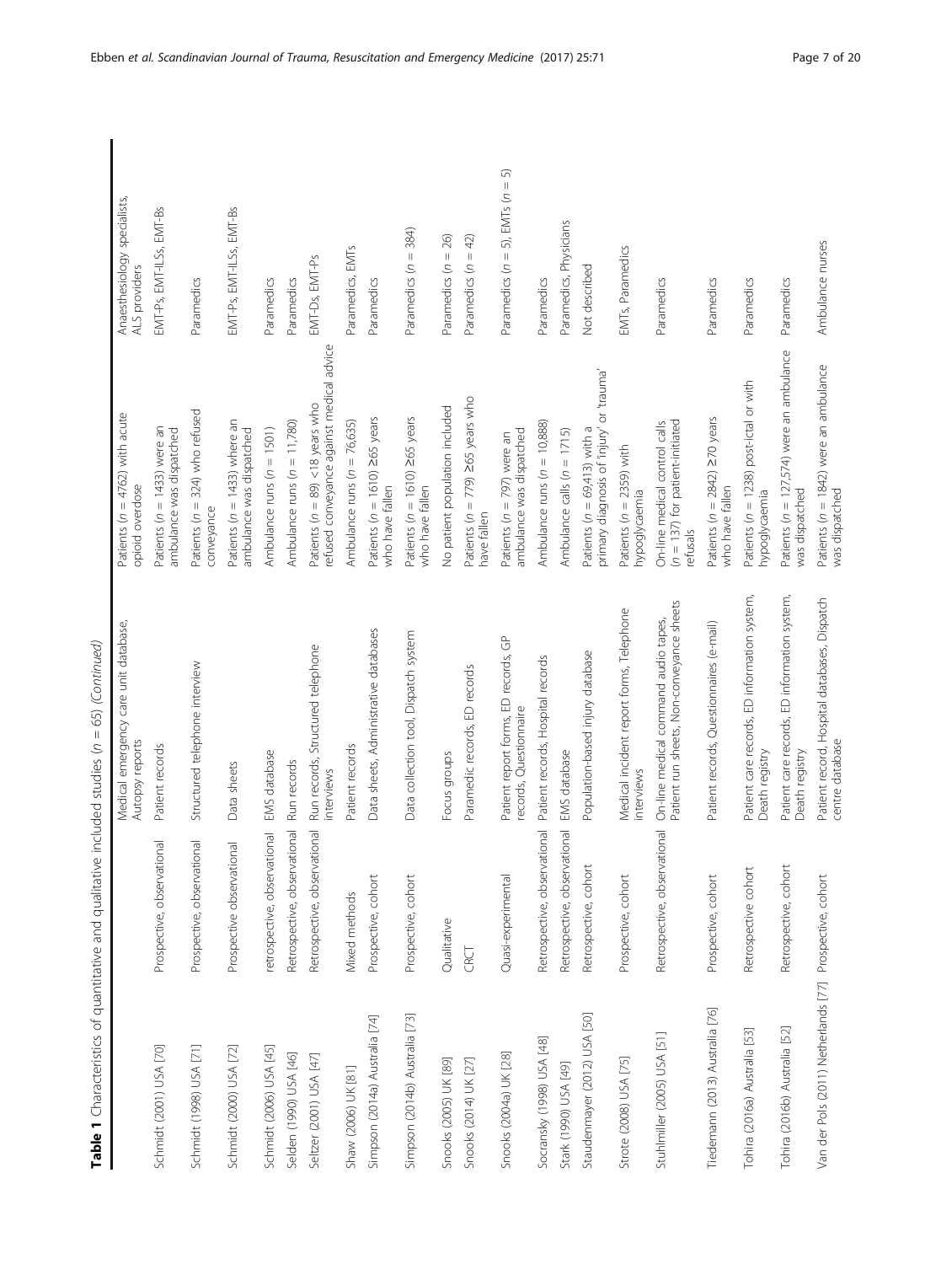| <b>Table 1</b> Characteristics of quantitative and qualitative included studies ( $n = 65$ ) (Continued) |                              |                                                                                   |                                                                                  |                                               |
|----------------------------------------------------------------------------------------------------------|------------------------------|-----------------------------------------------------------------------------------|----------------------------------------------------------------------------------|-----------------------------------------------|
|                                                                                                          |                              | Medical emergency care unit database<br>Autopsy reports                           | Patients ( $n = 4762$ ) with acute<br>opioid overdose                            | Anaesthesiology specialists,<br>ALS providers |
| Schmidt (2001) USA [70]                                                                                  | Prospective, observational   | Patient records                                                                   | Patients (n = 1433) were an<br>ambulance was dispatched                          | EMT-Ps, EMT-ILSs, EMT-Bs                      |
| Schmidt (1998) USA [71]                                                                                  | Prospective, observational   | Structured telephone interview                                                    | Patients ( $n = 324$ ) who refused<br>conveyance                                 | Paramedics                                    |
| Schmidt (2000) USA [72]                                                                                  | Prospective observational    | Data sheets                                                                       | Patients ( $n = 1433$ ) where an<br>ambulance was dispatched                     | EMT-Ps, EMT-ILSs, EMT-Bs                      |
| Schmidt (2006) USA [45]                                                                                  | retrospective, observational | EMS database                                                                      | Ambulance runs (n = 1501)                                                        | Paramedics                                    |
| Selden (1990) USA [46]                                                                                   | Retrospective, observational | Run records                                                                       | Ambulance runs ( $n = 11,780$ )                                                  | Paramedics                                    |
| Seltzer (2001) USA [47]                                                                                  | Retrospective, observational | Run records, Structured telephone<br>interviews                                   | refused conveyance against medical advice<br>Patients ( $n = 89$ ) <18 years who | EMT-Ds, EMT-Ps                                |
| Shaw (2006) UK [81]                                                                                      | Mixed methods                | Patient records                                                                   | Ambulance runs (n = 76,635)                                                      | Paramedics, EMTs                              |
| Simpson (2014a) Australia [74]                                                                           | Prospective, cohort          | Data sheets, Administrative databases                                             | Patients ( $n = 1610$ ) $\geq 65$ years<br>who have fallen                       | Paramedics                                    |
| Simpson (2014b) Australia [73]                                                                           | Prospective, cohort          | Data collection tool, Dispatch system                                             | Patients ( $n = 1610$ ) $\geq 65$ years<br>who have fallen                       | Paramedics ( $n = 384$ )                      |
| Snooks (2005) UK [89]                                                                                    | Qualitative                  | Focus groups                                                                      | No patient population included                                                   | Paramedics ( $n = 26$ )                       |
| Snooks (2014) UK [27]                                                                                    | CRCT                         | Paramedic records, ED records                                                     | Patients ( $n = 779$ ) 265 years who<br>have fallen                              | 42)<br>$\vert\vert$<br>Paramedics (n          |
| Snooks (2004a) UK [28]                                                                                   | Quasi-experimental           | $\mathbb{G}$<br>Patient report forms, ED records,<br>records, Questionnaire       | ambulance was dispatched<br>Patients ( $n = 797$ ) were an                       | Paramedics $(n = 5)$ , EMTs $(n = 5)$         |
| Socransky (1998) USA [48]                                                                                | Retrospective, observational | Patient records, Hospital records                                                 | Ambulance runs (n = 10,888)                                                      | Paramedics                                    |
| Stark (1990) USA [49]                                                                                    | Retrospective, observational | EMS database                                                                      | Ambulance calls (n = 1715)                                                       | Paramedics, Physicians                        |
| Staudenmayer (2012) USA [50]                                                                             | Retrospective, cohort        | Population-based injury database                                                  | 'smusn' to 'vui(ul, yo sisoubeip Areurid<br>Patients $(n = 69,413)$ with a       | Not described                                 |
| Strote (2008) USA [75]                                                                                   | Prospective, cohort          | Medical incident report forms, Telephone<br>interviews                            | Patients ( $n = 2359$ ) with<br>hypoglycaemia                                    | EMTs, Paramedics                              |
| Stuhlmiller (2005) USA [51]                                                                              | Retrospective, observational | Patient run sheets, Non-conveyance sheets<br>On-line medical command audio tapes, | $(n = 137)$ for patient-initiated<br>On-line medical control calls<br>refusals   | Paramedics                                    |
| Tiedemann (2013) Australia [76]                                                                          | Prospective, cohort          | Patient records, Questionnaires (e-mail)                                          | Patients ( $n = 2842$ ) $\geq 70$ years<br>who have fallen                       | Paramedics                                    |
| Tohira (2016a) Australia [53]                                                                            | Retrospective cohort         | Patient care records, ED information system,<br>Death registry                    | Patients ( $n = 1238$ ) post-ictal or with<br>hypoglycaemia                      | Paramedics                                    |
| Tohira (2016b) Australia [52]                                                                            | Retrospective, cohort        | Patient care records, ED information system,<br>Death registry                    | Patients ( $n = 127,574$ ) were an ambulance<br>was dispatched                   | Paramedics                                    |
| Van der Pols (2011) Netherlands [77] Prospective, cohort                                                 |                              | Patient record, Hospital databases, Dispatch<br>centre database                   | Patients (n = 1842) were an ambulance<br>was dispatched                          | Ambulance nurses                              |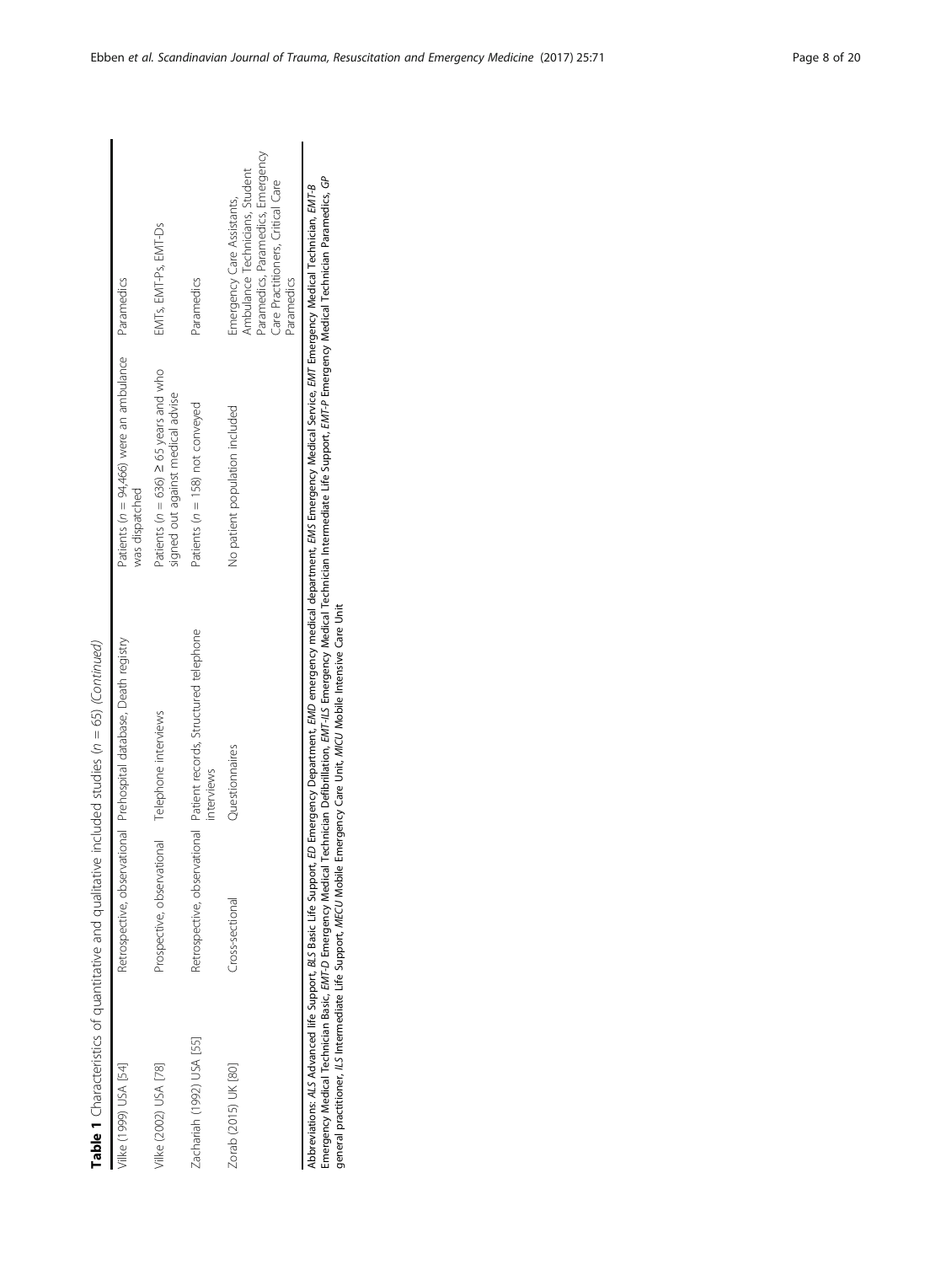|                           |                                                 | Table 1 Characteristics of quantitative and qualitative included studies (n = 65) (Continued) |                                                                                     |                                                                                                                                                      |
|---------------------------|-------------------------------------------------|-----------------------------------------------------------------------------------------------|-------------------------------------------------------------------------------------|------------------------------------------------------------------------------------------------------------------------------------------------------|
| Vilke (1999) USA [54]     |                                                 | Retrospective, observational Prehospital database, Death registry                             | Patients (n = 94,466) were an ambulance Paramedics<br>was dispatched                |                                                                                                                                                      |
| Vilke (2002) USA [78]     | Prospective, observational Telephone interviews |                                                                                               | Patients ( $n = 636$ ) $\geq 65$ years and who<br>signed out against medical advise | EMTs, EMT-Ps, EMT-Ds                                                                                                                                 |
| Zachariah (1992) USA [55] |                                                 | Retrospective, observational Patient records, Structured telephone<br>interviews              | Patients (n = 158) not conveyed                                                     | Paramedics                                                                                                                                           |
| Zorab (2015) UK [80]      | Cross-sectional                                 | Questionnaires                                                                                | No patient population included                                                      | Paramedics, Paramedics, Emergency<br>Ambulance Technicians, Student<br>Care Practitioners, Critical Care<br>Emergency Care Assistants,<br>Paramedics |

Abbreviations: ALS Advanced life Support, *BL* Support, ED Emergency Department, EMD emergency medical department, EMS Emergency Medical Service, EMT Emergency Medical Technician, EMT-B<br>Emergency Medical Technician Basic, Emergency Medical Technician Basic, EMT-D Emergency Medical Technician Defibrillation, EMT-ILS Emergency Medical Technician Intermediate Life Support, EMT-P Emergency Medical Technician Paramedics, GP Abbreviations: ALS Advanced life Support, BLS Basic Life Support, ED Emergency Department, EMD emergency Medical Service, EMT Emergency Medical Technician, EMT-B general practitioner, ILS Intermediate Life Support, MECU Mobile Emergency Care Unit, MICU Mobile Intensive Care Unit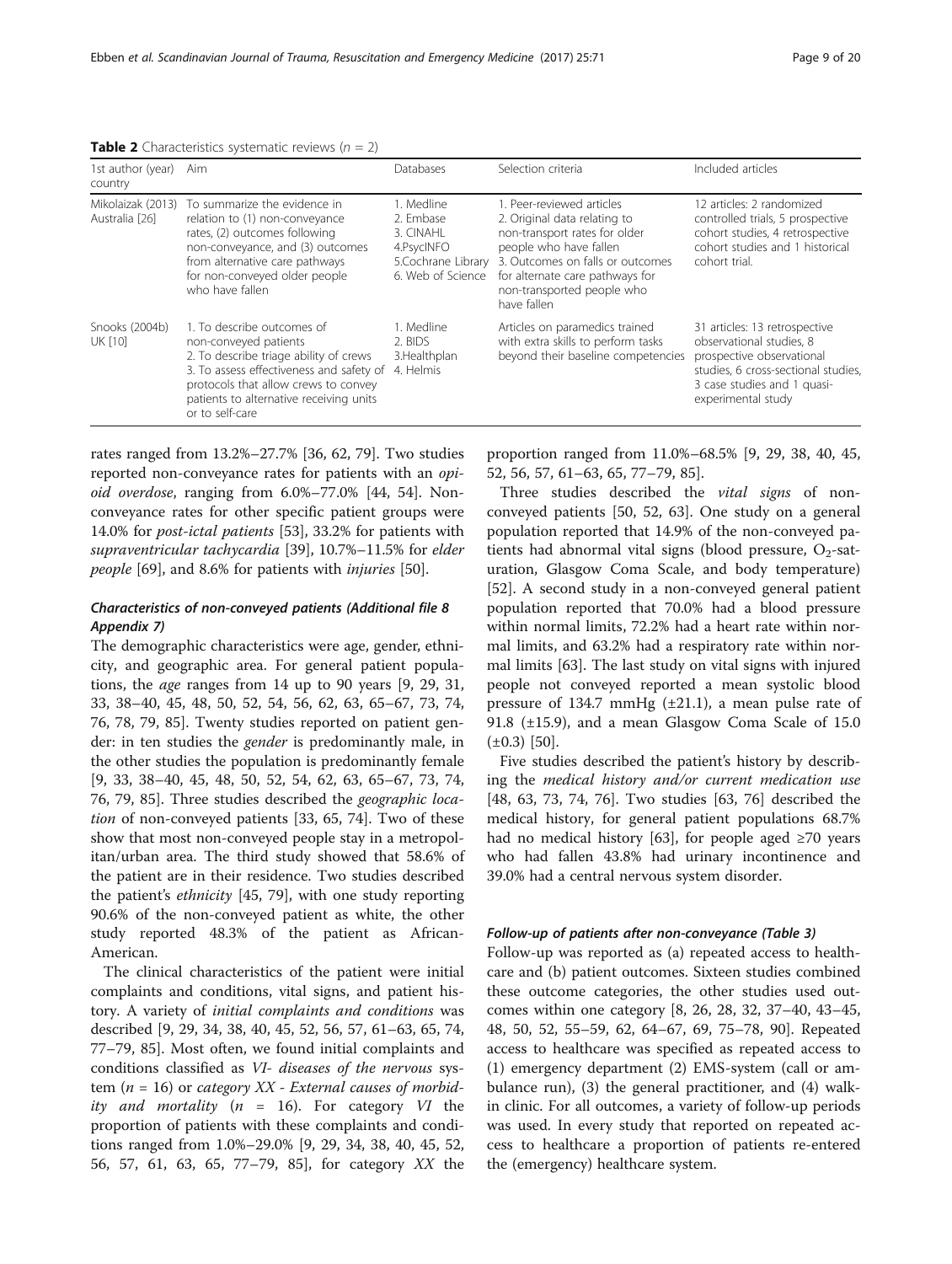| 1st author (year)<br>country        | Aim                                                                                                                                                                                                                                             | Databases                                                                                      | Selection criteria                                                                                                                                                                                                                       | Included articles                                                                                                                                                                  |
|-------------------------------------|-------------------------------------------------------------------------------------------------------------------------------------------------------------------------------------------------------------------------------------------------|------------------------------------------------------------------------------------------------|------------------------------------------------------------------------------------------------------------------------------------------------------------------------------------------------------------------------------------------|------------------------------------------------------------------------------------------------------------------------------------------------------------------------------------|
| Mikolaizak (2013)<br>Australia [26] | To summarize the evidence in<br>relation to (1) non-conveyance<br>rates, (2) outcomes following<br>non-conveyance, and (3) outcomes<br>from alternative care pathways<br>for non-conveyed older people<br>who have fallen                       | 1. Medline<br>2. Embase<br>3. CINAHL<br>4. PsycINFO<br>5.Cochrane Library<br>6. Web of Science | 1. Peer-reviewed articles<br>2. Original data relating to<br>non-transport rates for older<br>people who have fallen<br>3. Outcomes on falls or outcomes<br>for alternate care pathways for<br>non-transported people who<br>have fallen | 12 articles: 2 randomized<br>controlled trials, 5 prospective<br>cohort studies, 4 retrospective<br>cohort studies and 1 historical<br>cohort trial.                               |
| Snooks (2004b)<br>UK [10]           | 1. To describe outcomes of<br>non-conveyed patients<br>2. To describe triage ability of crews<br>3. To assess effectiveness and safety of<br>protocols that allow crews to convey<br>patients to alternative receiving units<br>or to self-care | 1. Medline<br>2. BIDS<br>3. Healthplan<br>4. Helmis                                            | Articles on paramedics trained<br>with extra skills to perform tasks<br>beyond their baseline competencies                                                                                                                               | 31 articles: 13 retrospective<br>observational studies, 8<br>prospective observational<br>studies, 6 cross-sectional studies,<br>3 case studies and 1 quasi-<br>experimental study |

<span id="page-8-0"></span>**Table 2** Characteristics systematic reviews ( $n = 2$ )

rates ranged from 13.2%–27.7% [[36](#page-18-0), [62](#page-19-0), [79](#page-19-0)]. Two studies reported non-conveyance rates for patients with an opioid overdose, ranging from 6.0%–77.0% [\[44](#page-18-0), [54\]](#page-19-0). Nonconveyance rates for other specific patient groups were 14.0% for post-ictal patients [[53\]](#page-19-0), 33.2% for patients with supraventricular tachycardia [\[39](#page-18-0)], 10.7%–11.5% for elder people [[69](#page-19-0)], and 8.6% for patients with injuries [\[50](#page-18-0)].

# Characteristics of non-conveyed patients (Additional file [8](#page-17-0) Appendix 7)

The demographic characteristics were age, gender, ethnicity, and geographic area. For general patient populations, the age ranges from 14 up to 90 years [[9, 29, 31](#page-18-0), [33, 38](#page-18-0)–[40](#page-18-0), [45](#page-18-0), [48, 50, 52,](#page-18-0) [54](#page-19-0), [56](#page-19-0), [62](#page-19-0), [63](#page-19-0), [65](#page-19-0)–[67, 73, 74](#page-19-0), [76, 78](#page-19-0), [79, 85](#page-19-0)]. Twenty studies reported on patient gender: in ten studies the gender is predominantly male, in the other studies the population is predominantly female [[9, 33, 38](#page-18-0)–[40, 45, 48, 50, 52,](#page-18-0) [54, 62, 63, 65](#page-19-0)–[67](#page-19-0), [73](#page-19-0), [74](#page-19-0), [76, 79, 85](#page-19-0)]. Three studies described the geographic location of non-conveyed patients [[33,](#page-18-0) [65](#page-19-0), [74](#page-19-0)]. Two of these show that most non-conveyed people stay in a metropolitan/urban area. The third study showed that 58.6% of the patient are in their residence. Two studies described the patient's ethnicity [\[45,](#page-18-0) [79\]](#page-19-0), with one study reporting 90.6% of the non-conveyed patient as white, the other study reported 48.3% of the patient as African-American.

The clinical characteristics of the patient were initial complaints and conditions, vital signs, and patient history. A variety of initial complaints and conditions was described [[9, 29, 34, 38, 40](#page-18-0), [45](#page-18-0), [52](#page-18-0), [56](#page-19-0), [57](#page-19-0), [61](#page-19-0)–[63](#page-19-0), [65](#page-19-0), [74](#page-19-0), [77](#page-19-0)–[79](#page-19-0), [85\]](#page-19-0). Most often, we found initial complaints and conditions classified as VI- diseases of the nervous system  $(n = 16)$  or category XX - External causes of morbidity and mortality  $(n = 16)$ . For category VI the proportion of patients with these complaints and conditions ranged from 1.0%–29.0% [\[9](#page-18-0), [29, 34](#page-18-0), [38, 40](#page-18-0), [45, 52](#page-18-0), [56, 57](#page-19-0), [61](#page-19-0), [63](#page-19-0), [65](#page-19-0), [77](#page-19-0)–[79, 85\]](#page-19-0), for category XX the

proportion ranged from 11.0%–68.5% [\[9](#page-18-0), [29](#page-18-0), [38, 40, 45](#page-18-0), [52,](#page-18-0) [56](#page-19-0), [57](#page-19-0), [61](#page-19-0)–[63](#page-19-0), [65, 77](#page-19-0)–[79, 85](#page-19-0)].

Three studies described the *vital signs* of nonconveyed patients [\[50](#page-18-0), [52](#page-18-0), [63](#page-19-0)]. One study on a general population reported that 14.9% of the non-conveyed patients had abnormal vital signs (blood pressure,  $O_2$ -saturation, Glasgow Coma Scale, and body temperature) [[52\]](#page-18-0). A second study in a non-conveyed general patient population reported that 70.0% had a blood pressure within normal limits, 72.2% had a heart rate within normal limits, and 63.2% had a respiratory rate within normal limits [[63\]](#page-19-0). The last study on vital signs with injured people not conveyed reported a mean systolic blood pressure of 134.7 mmHg  $(\pm 21.1)$ , a mean pulse rate of 91.8 (±15.9), and a mean Glasgow Coma Scale of 15.0  $(\pm 0.3)$  [[50\]](#page-18-0).

Five studies described the patient's history by describing the medical history and/or current medication use [[48,](#page-18-0) [63, 73, 74, 76](#page-19-0)]. Two studies [[63](#page-19-0), [76\]](#page-19-0) described the medical history, for general patient populations 68.7% had no medical history [[63](#page-19-0)], for people aged  $\geq 70$  years who had fallen 43.8% had urinary incontinence and 39.0% had a central nervous system disorder.

## Follow-up of patients after non-conveyance (Table [3\)](#page-9-0)

Follow-up was reported as (a) repeated access to healthcare and (b) patient outcomes. Sixteen studies combined these outcome categories, the other studies used outcomes within one category [[8, 26](#page-18-0), [28, 32](#page-18-0), [37](#page-18-0)–[40](#page-18-0), [43](#page-18-0)–[45](#page-18-0), [48, 50, 52](#page-18-0), [55](#page-19-0)–[59](#page-19-0), [62](#page-19-0), [64](#page-19-0)–[67](#page-19-0), [69, 75](#page-19-0)–[78](#page-19-0), [90\]](#page-19-0). Repeated access to healthcare was specified as repeated access to (1) emergency department (2) EMS-system (call or ambulance run), (3) the general practitioner, and (4) walkin clinic. For all outcomes, a variety of follow-up periods was used. In every study that reported on repeated access to healthcare a proportion of patients re-entered the (emergency) healthcare system.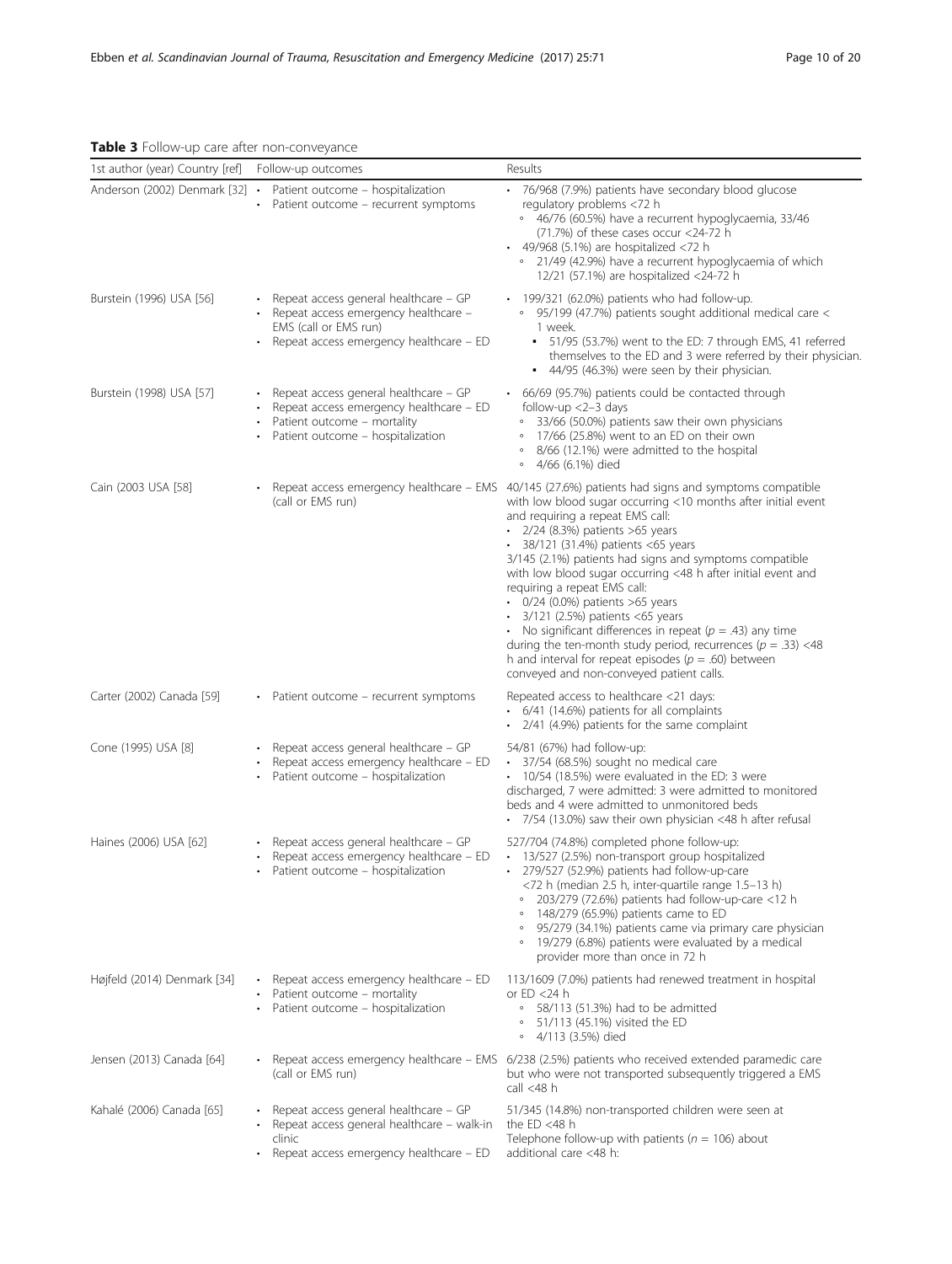# <span id="page-9-0"></span>Table 3 Follow-up care after non-conveyance

| 1st author (year) Country [ref] | Follow-up outcomes                                                                                                                                                | Results                                                                                                                                                                                                                                                                                                                                                                                                                                                                                                                                                                                                                                                                                                                                                                     |
|---------------------------------|-------------------------------------------------------------------------------------------------------------------------------------------------------------------|-----------------------------------------------------------------------------------------------------------------------------------------------------------------------------------------------------------------------------------------------------------------------------------------------------------------------------------------------------------------------------------------------------------------------------------------------------------------------------------------------------------------------------------------------------------------------------------------------------------------------------------------------------------------------------------------------------------------------------------------------------------------------------|
|                                 | Anderson (2002) Denmark [32] $\cdot$ Patient outcome – hospitalization<br>Patient outcome - recurrent symptoms                                                    | · 76/968 (7.9%) patients have secondary blood glucose<br>regulatory problems <72 h<br>• 46/76 (60.5%) have a recurrent hypoglycaemia, 33/46<br>$(71.7%)$ of these cases occur <24-72 h<br>• 49/968 (5.1%) are hospitalized $<$ 72 h<br>• 21/49 (42.9%) have a recurrent hypoglycaemia of which<br>12/21 (57.1%) are hospitalized <24-72 h                                                                                                                                                                                                                                                                                                                                                                                                                                   |
| Burstein (1996) USA [56]        | Repeat access general healthcare - GP<br>Repeat access emergency healthcare -<br>EMS (call or EMS run)<br>Repeat access emergency healthcare - ED                 | · 199/321 (62.0%) patients who had follow-up.<br>• 95/199 (47.7%) patients sought additional medical care <<br>1 week.<br>• 51/95 (53.7%) went to the ED: 7 through EMS, 41 referred<br>themselves to the ED and 3 were referred by their physician.<br>- 44/95 (46.3%) were seen by their physician.                                                                                                                                                                                                                                                                                                                                                                                                                                                                       |
| Burstein (1998) USA [57]        | Repeat access general healthcare - GP<br>$\bullet$<br>Repeat access emergency healthcare - ED<br>Patient outcome - mortality<br>Patient outcome - hospitalization | 66/69 (95.7%) patients could be contacted through<br>follow-up $<$ 2-3 days<br>33/66 (50.0%) patients saw their own physicians<br>$\circ$<br>17/66 (25.8%) went to an ED on their own<br>$\circ$<br>8/66 (12.1%) were admitted to the hospital<br>$\circ$<br>4/66 (6.1%) died<br>$\circ$                                                                                                                                                                                                                                                                                                                                                                                                                                                                                    |
| Cain (2003 USA [58]             | ٠<br>(call or EMS run)                                                                                                                                            | Repeat access emergency healthcare – EMS 40/145 (27.6%) patients had signs and symptoms compatible<br>with low blood sugar occurring <10 months after initial event<br>and requiring a repeat EMS call:<br>• 2/24 (8.3%) patients >65 years<br>$\cdot$ 38/121 (31.4%) patients <65 years<br>3/145 (2.1%) patients had signs and symptoms compatible<br>with low blood sugar occurring <48 h after initial event and<br>requiring a repeat EMS call:<br>$\cdot$ 0/24 (0.0%) patients >65 years<br>3/121 (2.5%) patients <65 years<br>No significant differences in repeat ( $p = .43$ ) any time<br>during the ten-month study period, recurrences ( $p = .33$ ) <48<br>h and interval for repeat episodes ( $p = .60$ ) between<br>conveyed and non-conveyed patient calls. |
| Carter (2002) Canada [59]       | • Patient outcome – recurrent symptoms                                                                                                                            | Repeated access to healthcare <21 days:<br>• 6/41 (14.6%) patients for all complaints<br>2/41 (4.9%) patients for the same complaint                                                                                                                                                                                                                                                                                                                                                                                                                                                                                                                                                                                                                                        |
| Cone (1995) USA [8]             | Repeat access general healthcare - GP<br>Repeat access emergency healthcare - ED<br>Patient outcome - hospitalization                                             | 54/81 (67%) had follow-up:<br>37/54 (68.5%) sought no medical care<br>• 10/54 (18.5%) were evaluated in the ED: 3 were<br>discharged, 7 were admitted: 3 were admitted to monitored<br>beds and 4 were admitted to unmonitored beds<br>7/54 (13.0%) saw their own physician <48 h after refusal                                                                                                                                                                                                                                                                                                                                                                                                                                                                             |
| Haines (2006) USA [62]          | Repeat access general healthcare - GP<br>Repeat access emergency healthcare - ED<br>$\bullet$<br>Patient outcome – hospitalization                                | 527/704 (74.8%) completed phone follow-up:<br>· 13/527 (2.5%) non-transport group hospitalized<br>279/527 (52.9%) patients had follow-up-care<br><72 h (median 2.5 h, inter-quartile range 1.5-13 h)<br>203/279 (72.6%) patients had follow-up-care <12 h<br>148/279 (65.9%) patients came to ED<br>$\circ$<br>95/279 (34.1%) patients came via primary care physician<br>$\circ$<br>19/279 (6.8%) patients were evaluated by a medical<br>$\circ$<br>provider more than once in 72 h                                                                                                                                                                                                                                                                                       |
| Højfeld (2014) Denmark [34]     | Repeat access emergency healthcare – ED<br>Patient outcome - mortality<br>Patient outcome - hospitalization                                                       | 113/1609 (7.0%) patients had renewed treatment in hospital<br>or $ED < 24$ h<br>58/113 (51.3%) had to be admitted<br>$\circ$<br>51/113 (45.1%) visited the ED<br>• 4/113 (3.5%) died                                                                                                                                                                                                                                                                                                                                                                                                                                                                                                                                                                                        |
| Jensen (2013) Canada [64]       | (call or EMS run)                                                                                                                                                 | Repeat access emergency healthcare - EMS 6/238 (2.5%) patients who received extended paramedic care<br>but who were not transported subsequently triggered a EMS<br>call <48 h                                                                                                                                                                                                                                                                                                                                                                                                                                                                                                                                                                                              |
| Kahalé (2006) Canada [65]       | Repeat access general healthcare – GP<br>$\bullet$<br>Repeat access general healthcare - walk-in<br>clinic<br>Repeat access emergency healthcare - ED             | 51/345 (14.8%) non-transported children were seen at<br>the $ED < 48$ h<br>Telephone follow-up with patients ( $n = 106$ ) about<br>additional care <48 h:                                                                                                                                                                                                                                                                                                                                                                                                                                                                                                                                                                                                                  |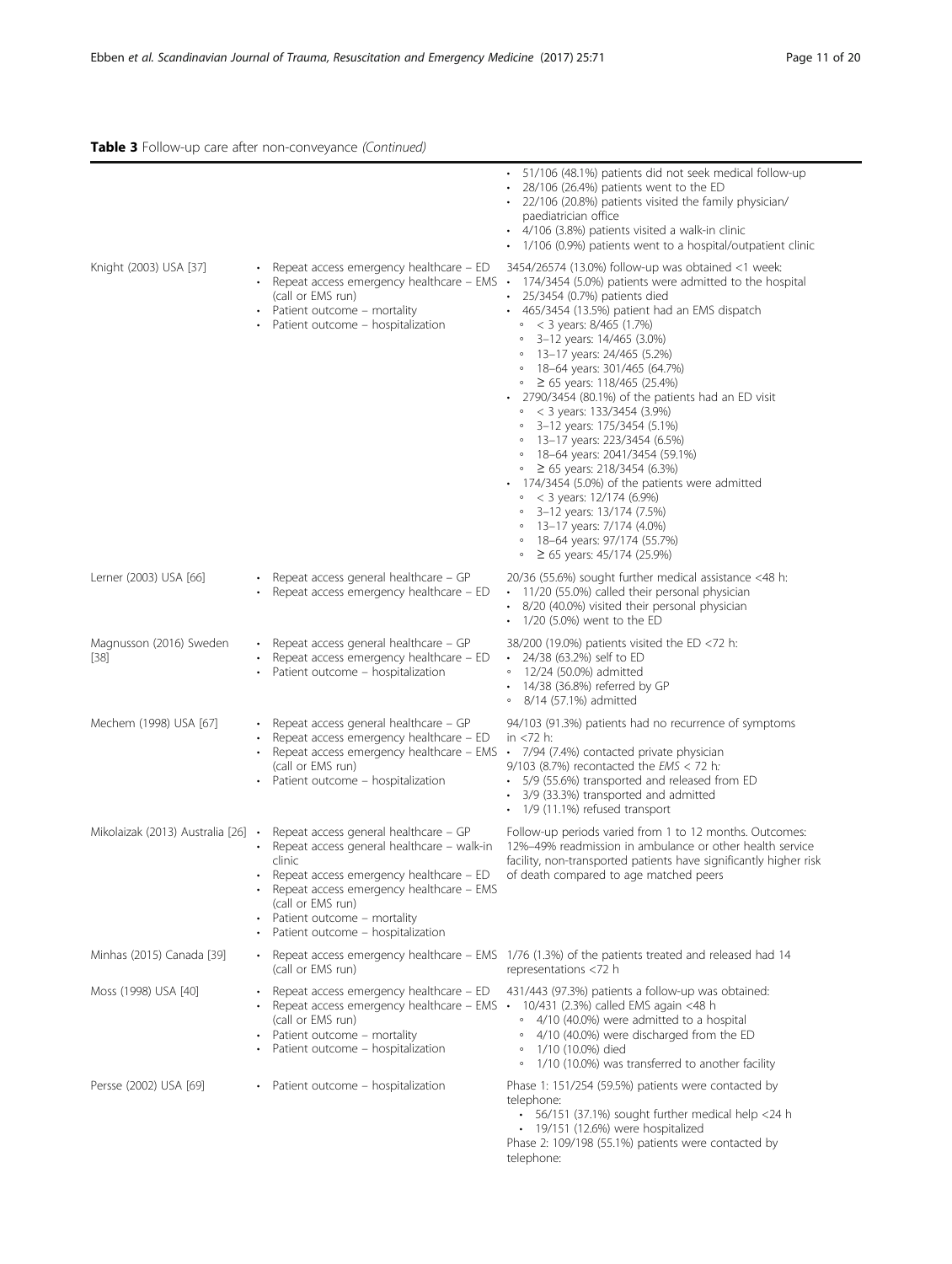# Table 3 Follow-up care after non-conveyance (Continued)

|                                   |                                                                                                                                                                                                                                                                                                                                           | • 51/106 (48.1%) patients did not seek medical follow-up<br>28/106 (26.4%) patients went to the ED<br>22/106 (20.8%) patients visited the family physician/<br>paediatrician office<br>• 4/106 (3.8%) patients visited a walk-in clinic<br>· 1/106 (0.9%) patients went to a hospital/outpatient clinic                                                                                                                                                                                                                                                                                                                                                                                                                                                                                                                                                                                                                                                 |
|-----------------------------------|-------------------------------------------------------------------------------------------------------------------------------------------------------------------------------------------------------------------------------------------------------------------------------------------------------------------------------------------|---------------------------------------------------------------------------------------------------------------------------------------------------------------------------------------------------------------------------------------------------------------------------------------------------------------------------------------------------------------------------------------------------------------------------------------------------------------------------------------------------------------------------------------------------------------------------------------------------------------------------------------------------------------------------------------------------------------------------------------------------------------------------------------------------------------------------------------------------------------------------------------------------------------------------------------------------------|
| Knight (2003) USA [37]            | • Repeat access emergency healthcare – ED<br>(call or EMS run)<br>• Patient outcome – mortality<br>• Patient outcome - hospitalization                                                                                                                                                                                                    | 3454/26574 (13.0%) follow-up was obtained <1 week:<br>• Repeat access emergency healthcare – EMS • 174/3454 (5.0%) patients were admitted to the hospital<br>• 25/3454 (0.7%) patients died<br>• 465/3454 (13.5%) patient had an EMS dispatch<br>$\degree$ < 3 years: 8/465 (1.7%)<br>3–12 years: 14/465 (3.0%)<br>$\circ$<br>13–17 years: 24/465 (5.2%)<br>$\circ$<br>18–64 years: 301/465 (64.7%)<br>$\circ$<br>$≥ 65$ years: 118/465 (25.4%)<br>$\circ$<br>• 2790/3454 (80.1%) of the patients had an ED visit<br>$\degree$ < 3 years: 133/3454 (3.9%)<br>• 3-12 years: 175/3454 (5.1%)<br>• 13–17 years: 223/3454 (6.5%)<br>$\degree$ 18-64 years: 2041/3454 (59.1%)<br>$≥$ 65 years: 218/3454 (6.3%)<br>$\circ$<br>• 174/3454 (5.0%) of the patients were admitted<br>$\degree$ < 3 years: 12/174 (6.9%)<br>• 3–12 years: $13/174$ (7.5%)<br>• 13–17 years: 7/174 (4.0%)<br>18-64 years: 97/174 (55.7%)<br>$\circ$<br>$≥$ 65 years: 45/174 (25.9%) |
| Lerner (2003) USA [66]            | • Repeat access general healthcare - GP<br>Repeat access emergency healthcare - ED                                                                                                                                                                                                                                                        | 20/36 (55.6%) sought further medical assistance <48 h:<br>· 11/20 (55.0%) called their personal physician<br>• 8/20 (40.0%) visited their personal physician<br>$\cdot$ 1/20 (5.0%) went to the ED                                                                                                                                                                                                                                                                                                                                                                                                                                                                                                                                                                                                                                                                                                                                                      |
| Magnusson (2016) Sweden<br>$[38]$ | • Repeat access general healthcare - GP<br>Repeat access emergency healthcare - ED<br>Patient outcome - hospitalization                                                                                                                                                                                                                   | $38/200$ (19.0%) patients visited the ED <72 h:<br>24/38 (63.2%) self to ED<br>• 12/24 (50.0%) admitted<br>14/38 (36.8%) referred by GP<br>• 8/14 (57.1%) admitted                                                                                                                                                                                                                                                                                                                                                                                                                                                                                                                                                                                                                                                                                                                                                                                      |
| Mechem (1998) USA [67]            | • Repeat access general healthcare - GP<br>• Repeat access emergency healthcare - ED<br>Repeat access emergency healthcare - EMS $\cdot$ 7/94 (7.4%) contacted private physician<br>$\bullet$<br>(call or EMS run)<br>• Patient outcome – hospitalization                                                                                 | 94/103 (91.3%) patients had no recurrence of symptoms<br>in $< 72$ h:<br>9/103 (8.7%) recontacted the <i>EMS</i> < 72 h:<br>• 5/9 (55.6%) transported and released from ED<br>3/9 (33.3%) transported and admitted<br>• 1/9 (11.1%) refused transport                                                                                                                                                                                                                                                                                                                                                                                                                                                                                                                                                                                                                                                                                                   |
|                                   | Mikolaizak (2013) Australia [26] $\cdot$ Repeat access general healthcare - GP<br>Repeat access general healthcare - walk-in<br>$\bullet$<br>clinic<br>• Repeat access emergency healthcare $-$ ED<br>Repeat access emergency healthcare - EMS<br>(call or EMS run)<br>• Patient outcome - mortality<br>Patient outcome - hospitalization | Follow-up periods varied from 1 to 12 months. Outcomes:<br>12%-49% readmission in ambulance or other health service<br>facility, non-transported patients have significantly higher risk<br>of death compared to age matched peers                                                                                                                                                                                                                                                                                                                                                                                                                                                                                                                                                                                                                                                                                                                      |
| Minhas (2015) Canada [39]         | (call or EMS run)                                                                                                                                                                                                                                                                                                                         | Repeat access emergency healthcare $-$ EMS 1/76 (1.3%) of the patients treated and released had 14<br>representations <72 h                                                                                                                                                                                                                                                                                                                                                                                                                                                                                                                                                                                                                                                                                                                                                                                                                             |
| Moss (1998) USA [40]              | Repeat access emergency healthcare - ED<br>• Repeat access emergency healthcare $-$ EMS • 10/431 (2.3%) called EMS again <48 h<br>(call or EMS run)<br>• Patient outcome – mortality<br>Patient outcome - hospitalization                                                                                                                 | 431/443 (97.3%) patients a follow-up was obtained:<br>• 4/10 (40.0%) were admitted to a hospital<br>• 4/10 (40.0%) were discharged from the ED<br>1/10 (10.0%) died<br>1/10 (10.0%) was transferred to another facility                                                                                                                                                                                                                                                                                                                                                                                                                                                                                                                                                                                                                                                                                                                                 |
| Persse (2002) USA [69]            | • Patient outcome – hospitalization                                                                                                                                                                                                                                                                                                       | Phase 1: 151/254 (59.5%) patients were contacted by<br>telephone:<br>• 56/151 (37.1%) sought further medical help <24 h<br>• 19/151 (12.6%) were hospitalized<br>Phase 2: 109/198 (55.1%) patients were contacted by<br>telephone:                                                                                                                                                                                                                                                                                                                                                                                                                                                                                                                                                                                                                                                                                                                      |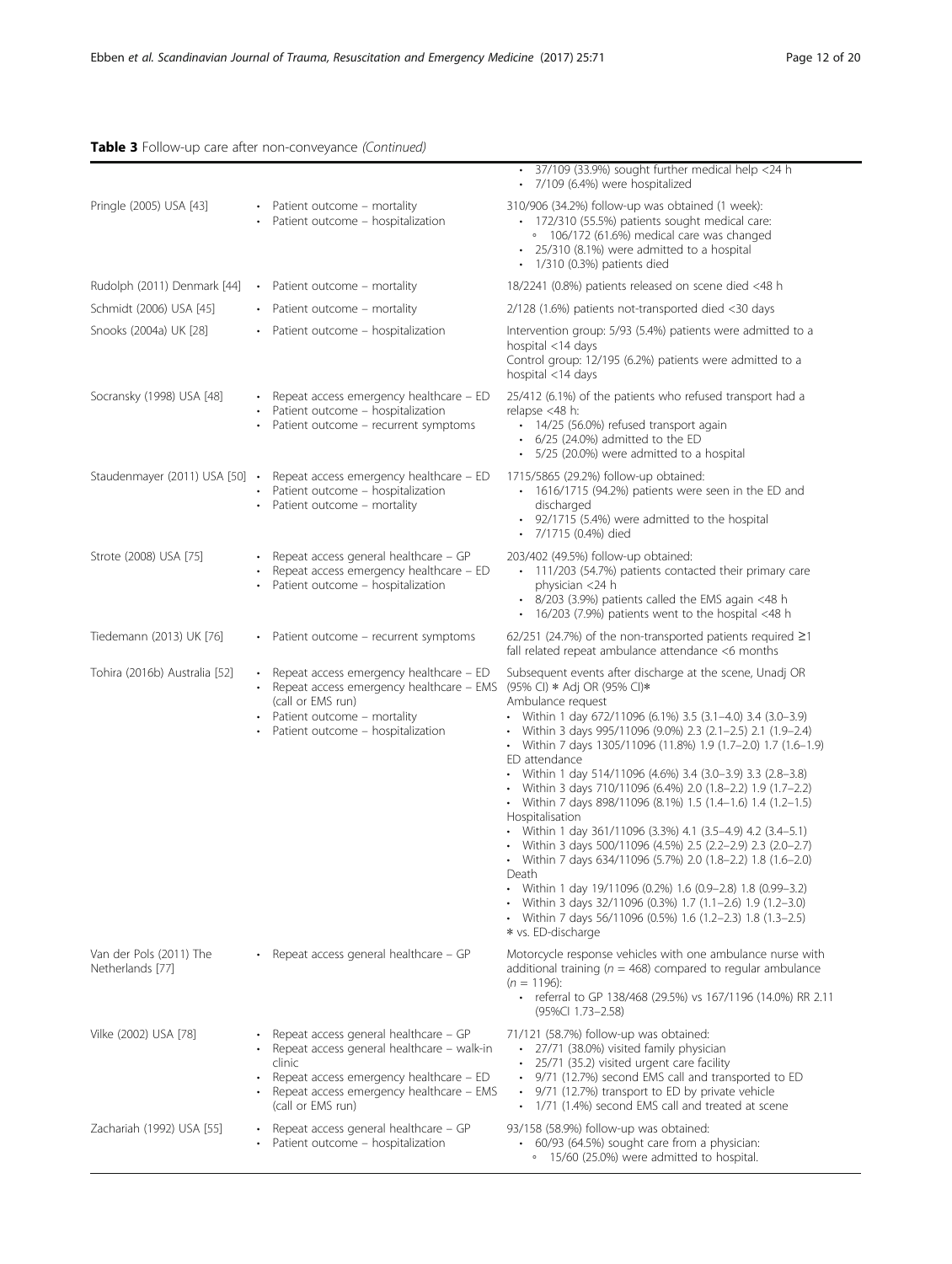# Table 3 Follow-up care after non-conveyance (Continued)

|                                             |                                                                                                                                                                                                                          | · 37/109 (33.9%) sought further medical help <24 h<br>• 7/109 (6.4%) were hospitalized                                                                                                                                                                                                                                                                                                                                                                                                                                                                                                                                                                                                                                                                                                                                                                                                                                                                                  |
|---------------------------------------------|--------------------------------------------------------------------------------------------------------------------------------------------------------------------------------------------------------------------------|-------------------------------------------------------------------------------------------------------------------------------------------------------------------------------------------------------------------------------------------------------------------------------------------------------------------------------------------------------------------------------------------------------------------------------------------------------------------------------------------------------------------------------------------------------------------------------------------------------------------------------------------------------------------------------------------------------------------------------------------------------------------------------------------------------------------------------------------------------------------------------------------------------------------------------------------------------------------------|
| Pringle (2005) USA [43]                     | • Patient outcome – mortality<br>• Patient outcome – hospitalization                                                                                                                                                     | 310/906 (34.2%) follow-up was obtained (1 week):<br>· 172/310 (55.5%) patients sought medical care:<br><sup>o</sup> 106/172 (61.6%) medical care was changed<br>• 25/310 (8.1%) were admitted to a hospital<br>$\cdot$ 1/310 (0.3%) patients died                                                                                                                                                                                                                                                                                                                                                                                                                                                                                                                                                                                                                                                                                                                       |
| Rudolph (2011) Denmark [44]                 | • Patient outcome – mortality                                                                                                                                                                                            | $18/2241$ (0.8%) patients released on scene died <48 h                                                                                                                                                                                                                                                                                                                                                                                                                                                                                                                                                                                                                                                                                                                                                                                                                                                                                                                  |
| Schmidt (2006) USA [45]                     | • Patient outcome – mortality                                                                                                                                                                                            | 2/128 (1.6%) patients not-transported died <30 days                                                                                                                                                                                                                                                                                                                                                                                                                                                                                                                                                                                                                                                                                                                                                                                                                                                                                                                     |
| Snooks (2004a) UK [28]                      | • Patient outcome – hospitalization                                                                                                                                                                                      | Intervention group: 5/93 (5.4%) patients were admitted to a<br>hospital <14 days<br>Control group: 12/195 (6.2%) patients were admitted to a<br>hospital <14 days                                                                                                                                                                                                                                                                                                                                                                                                                                                                                                                                                                                                                                                                                                                                                                                                       |
| Socransky (1998) USA [48]                   | • Repeat access emergency healthcare - ED<br>• Patient outcome - hospitalization<br>• Patient outcome - recurrent symptoms                                                                                               | 25/412 (6.1%) of the patients who refused transport had a<br>relapse $<$ 48 h:<br>· 14/25 (56.0%) refused transport again<br>6/25 (24.0%) admitted to the ED<br>• 5/25 (20.0%) were admitted to a hospital                                                                                                                                                                                                                                                                                                                                                                                                                                                                                                                                                                                                                                                                                                                                                              |
|                                             | Staudenmayer (2011) USA [50] $\cdot$ Repeat access emergency healthcare – ED<br>• Patient outcome – hospitalization<br>• Patient outcome - mortality                                                                     | 1715/5865 (29.2%) follow-up obtained:<br>• 1616/1715 (94.2%) patients were seen in the ED and<br>discharged<br>• 92/1715 (5.4%) were admitted to the hospital<br>• 7/1715 (0.4%) died                                                                                                                                                                                                                                                                                                                                                                                                                                                                                                                                                                                                                                                                                                                                                                                   |
| Strote (2008) USA [75]                      | • Repeat access general healthcare - GP<br>Repeat access emergency healthcare - ED<br>• Patient outcome - hospitalization                                                                                                | 203/402 (49.5%) follow-up obtained:<br>• 111/203 (54.7%) patients contacted their primary care<br>physician <24 h<br>• 8/203 (3.9%) patients called the EMS again <48 h<br>• 16/203 (7.9%) patients went to the hospital <48 h                                                                                                                                                                                                                                                                                                                                                                                                                                                                                                                                                                                                                                                                                                                                          |
| Tiedemann (2013) UK [76]                    | • Patient outcome – recurrent symptoms                                                                                                                                                                                   | 62/251 (24.7%) of the non-transported patients required $\geq$ 1<br>fall related repeat ambulance attendance $<6$ months                                                                                                                                                                                                                                                                                                                                                                                                                                                                                                                                                                                                                                                                                                                                                                                                                                                |
| Tohira (2016b) Australia [52]               | • Repeat access emergency healthcare - ED<br>Repeat access emergency healthcare - EMS<br>(call or EMS run)<br>• Patient outcome - mortality<br>• Patient outcome - hospitalization                                       | Subsequent events after discharge at the scene, Unadj OR<br>(95% CI) * Adj OR (95% CI)*<br>Ambulance request<br>• Within 1 day 672/11096 (6.1%) 3.5 (3.1-4.0) 3.4 (3.0-3.9)<br>• Within 3 days 995/11096 (9.0%) 2.3 (2.1–2.5) 2.1 (1.9–2.4)<br>• Within 7 days 1305/11096 (11.8%) 1.9 (1.7-2.0) 1.7 (1.6-1.9)<br>ED attendance<br>• Within 1 day 514/11096 (4.6%) 3.4 (3.0–3.9) 3.3 (2.8–3.8)<br>• Within 3 days 710/11096 (6.4%) 2.0 (1.8–2.2) 1.9 (1.7–2.2)<br>• Within 7 days 898/11096 (8.1%) 1.5 (1.4–1.6) 1.4 (1.2–1.5)<br>Hospitalisation<br>• Within 1 day 361/11096 (3.3%) 4.1 (3.5–4.9) 4.2 (3.4–5.1)<br>• Within 3 days 500/11096 (4.5%) 2.5 (2.2–2.9) 2.3 (2.0–2.7)<br>• Within 7 days 634/11096 (5.7%) 2.0 (1.8–2.2) 1.8 (1.6–2.0)<br>Death<br>• Within 1 day 19/11096 (0.2%) 1.6 (0.9–2.8) 1.8 (0.99–3.2)<br>Within 3 days 32/11096 (0.3%) 1.7 (1.1-2.6) 1.9 (1.2-3.0)<br>Within 7 days 56/11096 (0.5%) 1.6 (1.2-2.3) 1.8 (1.3-2.5)<br>* vs. ED-discharge |
| Van der Pols (2011) The<br>Netherlands [77] | • Repeat access general healthcare - GP                                                                                                                                                                                  | Motorcycle response vehicles with one ambulance nurse with<br>additional training ( $n = 468$ ) compared to regular ambulance<br>$(n = 1196)$ :<br>• referral to GP 138/468 (29.5%) vs 167/1196 (14.0%) RR 2.11<br>(95%CI 1.73-2.58)                                                                                                                                                                                                                                                                                                                                                                                                                                                                                                                                                                                                                                                                                                                                    |
| Vilke (2002) USA [78]                       | • Repeat access general healthcare - GP<br>Repeat access general healthcare - walk-in<br>$\bullet$<br>clinic<br>Repeat access emergency healthcare - ED<br>Repeat access emergency healthcare - EMS<br>(call or EMS run) | 71/121 (58.7%) follow-up was obtained:<br>27/71 (38.0%) visited family physician<br>25/71 (35.2) visited urgent care facility<br>9/71 (12.7%) second EMS call and transported to ED<br>9/71 (12.7%) transport to ED by private vehicle<br>• 1/71 (1.4%) second EMS call and treated at scene                                                                                                                                                                                                                                                                                                                                                                                                                                                                                                                                                                                                                                                                            |
| Zachariah (1992) USA [55]                   | Repeat access general healthcare - GP<br>Patient outcome - hospitalization<br>$\bullet$                                                                                                                                  | 93/158 (58.9%) follow-up was obtained:<br>• 60/93 (64.5%) sought care from a physician:<br><sup>o</sup> 15/60 (25.0%) were admitted to hospital.                                                                                                                                                                                                                                                                                                                                                                                                                                                                                                                                                                                                                                                                                                                                                                                                                        |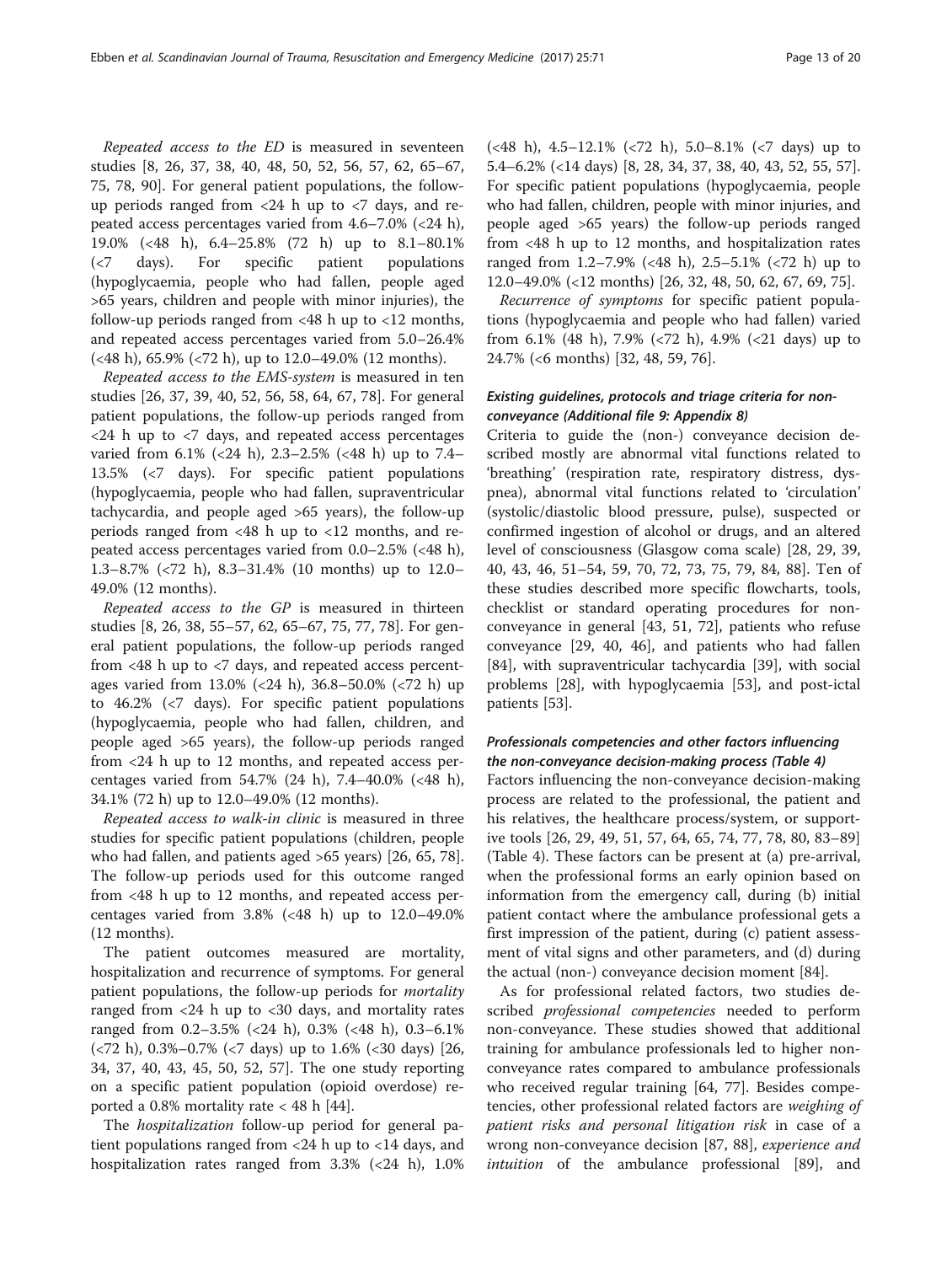Repeated access to the ED is measured in seventeen studies [\[8, 26, 37, 38, 40, 48, 50, 52,](#page-18-0) [56, 57, 62, 65](#page-19-0)–[67](#page-19-0), [75, 78](#page-19-0), [90](#page-19-0)]. For general patient populations, the followup periods ranged from  $\langle 24 \rangle$  h up to  $\langle 7 \rangle$  days, and repeated access percentages varied from 4.6–7.0% (<24 h), 19.0% (<48 h), 6.4–25.8% (72 h) up to 8.1–80.1% (<7 days). For specific patient populations (hypoglycaemia, people who had fallen, people aged >65 years, children and people with minor injuries), the follow-up periods ranged from  $\langle 48 \rangle$  h up to  $\langle 12 \rangle$  months, and repeated access percentages varied from 5.0–26.4% (<48 h), 65.9% (<72 h), up to 12.0–49.0% (12 months).

Repeated access to the EMS-system is measured in ten studies [\[26, 37, 39, 40, 52,](#page-18-0) [56, 58, 64, 67, 78\]](#page-19-0). For general patient populations, the follow-up periods ranged from <24 h up to <7 days, and repeated access percentages varied from 6.1% (<24 h), 2.3–2.5% (<48 h) up to 7.4– 13.5% (<7 days). For specific patient populations (hypoglycaemia, people who had fallen, supraventricular tachycardia, and people aged >65 years), the follow-up periods ranged from <48 h up to <12 months, and repeated access percentages varied from 0.0–2.5% (<48 h), 1.3–8.7% (<72 h), 8.3–31.4% (10 months) up to 12.0– 49.0% (12 months).

Repeated access to the GP is measured in thirteen studies [\[8, 26, 38,](#page-18-0) [55](#page-19-0)–[57, 62, 65](#page-19-0)–[67](#page-19-0), [75](#page-19-0), [77](#page-19-0), [78](#page-19-0)]. For general patient populations, the follow-up periods ranged from  $\langle 48 \rangle$  h up to  $\langle 7 \rangle$  days, and repeated access percentages varied from 13.0% (<24 h), 36.8–50.0% (<72 h) up to 46.2% (<7 days). For specific patient populations (hypoglycaemia, people who had fallen, children, and people aged >65 years), the follow-up periods ranged from <24 h up to 12 months, and repeated access percentages varied from 54.7% (24 h), 7.4–40.0% (<48 h), 34.1% (72 h) up to 12.0–49.0% (12 months).

Repeated access to walk-in clinic is measured in three studies for specific patient populations (children, people who had fallen, and patients aged >65 years) [\[26](#page-18-0), [65](#page-19-0), [78](#page-19-0)]. The follow-up periods used for this outcome ranged from <48 h up to 12 months, and repeated access percentages varied from  $3.8\%$  (<48 h) up to  $12.0-49.0\%$ (12 months).

The patient outcomes measured are mortality, hospitalization and recurrence of symptoms. For general patient populations, the follow-up periods for mortality ranged from <24 h up to <30 days, and mortality rates ranged from 0.2–3.5% (<24 h), 0.3% (<48 h), 0.3–6.1%  $\left($  <72 h), 0.3%–0.7% (<7 days) up to 1.6% (<30 days) [[26](#page-18-0), [34, 37](#page-18-0), [40](#page-18-0), [43](#page-18-0), [45](#page-18-0), [50](#page-18-0), [52](#page-18-0), [57](#page-19-0)]. The one study reporting on a specific patient population (opioid overdose) reported a  $0.8\%$  mortality rate < 48 h [[44\]](#page-18-0).

The hospitalization follow-up period for general patient populations ranged from <24 h up to <14 days, and hospitalization rates ranged from  $3.3\%$  (<24 h),  $1.0\%$ 

(<48 h), 4.5–12.1% (<72 h), 5.0–8.1% (<7 days) up to 5.4–6.2% (<14 days) [\[8, 28, 34](#page-18-0), [37](#page-18-0), [38](#page-18-0), [40](#page-18-0), [43](#page-18-0), [52](#page-18-0), [55](#page-19-0), [57](#page-19-0)]. For specific patient populations (hypoglycaemia, people who had fallen, children, people with minor injuries, and people aged >65 years) the follow-up periods ranged from <48 h up to 12 months, and hospitalization rates ranged from 1.2–7.9% (<48 h), 2.5–5.1% (<72 h) up to 12.0–49.0% (<12 months) [[26, 32](#page-18-0), [48](#page-18-0), [50](#page-18-0), [62](#page-19-0), [67](#page-19-0), [69, 75\]](#page-19-0).

Recurrence of symptoms for specific patient populations (hypoglycaemia and people who had fallen) varied from 6.1% (48 h), 7.9% ( $\langle 72 \rangle$  h), 4.9% ( $\langle 21 \rangle$  days) up to 24.7% (<6 months) [[32, 48,](#page-18-0) [59, 76\]](#page-19-0).

# Existing guidelines, protocols and triage criteria for nonconveyance (Additional file [9:](#page-17-0) Appendix 8)

Criteria to guide the (non-) conveyance decision described mostly are abnormal vital functions related to 'breathing' (respiration rate, respiratory distress, dyspnea), abnormal vital functions related to 'circulation' (systolic/diastolic blood pressure, pulse), suspected or confirmed ingestion of alcohol or drugs, and an altered level of consciousness (Glasgow coma scale) [[28](#page-18-0), [29, 39](#page-18-0), [40, 43](#page-18-0), [46, 51](#page-18-0)–[54](#page-19-0), [59, 70](#page-19-0), [72, 73](#page-19-0), [75, 79, 84](#page-19-0), [88\]](#page-19-0). Ten of these studies described more specific flowcharts, tools, checklist or standard operating procedures for nonconveyance in general [[43, 51,](#page-18-0) [72\]](#page-19-0), patients who refuse conveyance [\[29, 40](#page-18-0), [46\]](#page-18-0), and patients who had fallen [[84\]](#page-19-0), with supraventricular tachycardia [\[39\]](#page-18-0), with social problems [[28\]](#page-18-0), with hypoglycaemia [\[53\]](#page-19-0), and post-ictal patients [\[53\]](#page-19-0).

# Professionals competencies and other factors influencing the non-conveyance decision-making process (Table [4](#page-13-0))

Factors influencing the non-conveyance decision-making process are related to the professional, the patient and his relatives, the healthcare process/system, or supportive tools [\[26, 29, 49, 51,](#page-18-0) [57, 64, 65, 74, 77, 78, 80, 83](#page-19-0)–[89](#page-19-0)] (Table [4](#page-13-0)). These factors can be present at (a) pre-arrival, when the professional forms an early opinion based on information from the emergency call, during (b) initial patient contact where the ambulance professional gets a first impression of the patient, during (c) patient assessment of vital signs and other parameters, and (d) during the actual (non-) conveyance decision moment [\[84](#page-19-0)].

As for professional related factors, two studies described *professional competencies* needed to perform non-conveyance. These studies showed that additional training for ambulance professionals led to higher nonconveyance rates compared to ambulance professionals who received regular training [\[64](#page-19-0), [77\]](#page-19-0). Besides competencies, other professional related factors are weighing of patient risks and personal litigation risk in case of a wrong non-conveyance decision [\[87](#page-19-0), [88\]](#page-19-0), experience and intuition of the ambulance professional [[89\]](#page-19-0), and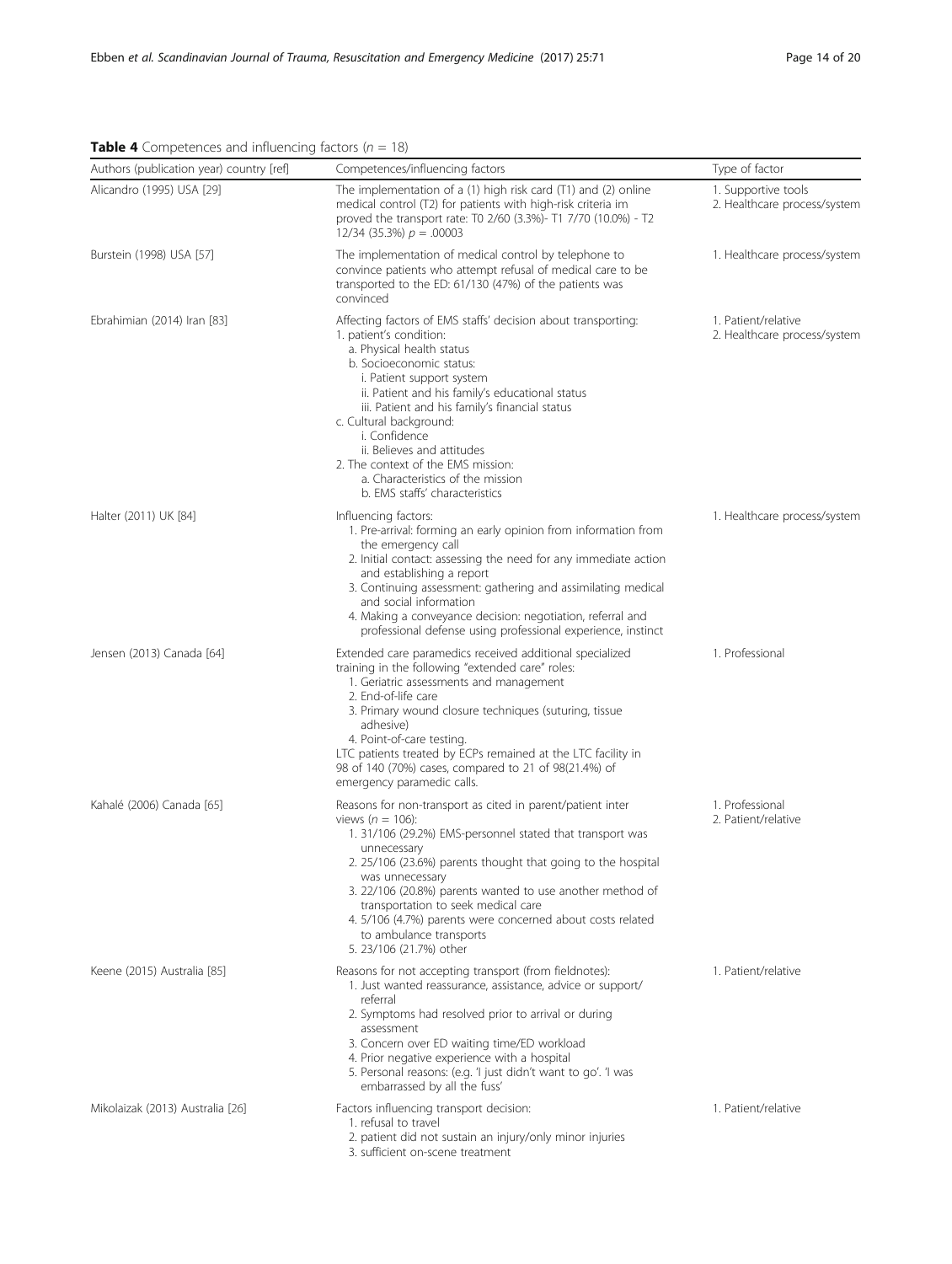| Authors (publication year) country [ref] | Competences/influencing factors                                                                                                                                                                                                                                                                                                                                                                                                                                            | Type of factor                                      |
|------------------------------------------|----------------------------------------------------------------------------------------------------------------------------------------------------------------------------------------------------------------------------------------------------------------------------------------------------------------------------------------------------------------------------------------------------------------------------------------------------------------------------|-----------------------------------------------------|
| Alicandro (1995) USA [29]                | The implementation of a (1) high risk card (T1) and (2) online<br>medical control (T2) for patients with high-risk criteria im<br>proved the transport rate: T0 2/60 (3.3%)- T1 7/70 (10.0%) - T2<br>$12/34$ (35.3%) $p = .00003$                                                                                                                                                                                                                                          | 1. Supportive tools<br>2. Healthcare process/system |
| Burstein (1998) USA [57]                 | The implementation of medical control by telephone to<br>convince patients who attempt refusal of medical care to be<br>transported to the ED: 61/130 (47%) of the patients was<br>convinced                                                                                                                                                                                                                                                                               | 1. Healthcare process/system                        |
| Ebrahimian (2014) Iran [83]              | Affecting factors of EMS staffs' decision about transporting:<br>1. patient's condition:<br>a. Physical health status<br>b. Socioeconomic status:<br>i. Patient support system<br>ii. Patient and his family's educational status<br>iii. Patient and his family's financial status<br>c. Cultural background:<br>i. Confidence<br>ii. Believes and attitudes<br>2. The context of the EMS mission:<br>a. Characteristics of the mission<br>b. EMS staffs' characteristics | 1. Patient/relative<br>2. Healthcare process/system |
| Halter (2011) UK [84]                    | Influencing factors:<br>1. Pre-arrival: forming an early opinion from information from<br>the emergency call<br>2. Initial contact: assessing the need for any immediate action<br>and establishing a report<br>3. Continuing assessment: gathering and assimilating medical<br>and social information<br>4. Making a conveyance decision: negotiation, referral and<br>professional defense using professional experience, instinct                                       | 1. Healthcare process/system                        |
| Jensen (2013) Canada [64]                | Extended care paramedics received additional specialized<br>training in the following "extended care" roles:<br>1. Geriatric assessments and management<br>2. End-of-life care<br>3. Primary wound closure techniques (suturing, tissue<br>adhesive)<br>4. Point-of-care testing.<br>LTC patients treated by ECPs remained at the LTC facility in<br>98 of 140 (70%) cases, compared to 21 of 98(21.4%) of<br>emergency paramedic calls.                                   | 1. Professional                                     |
| Kahalé (2006) Canada [65]                | Reasons for non-transport as cited in parent/patient inter<br>views ( $n = 106$ ):<br>1. 31/106 (29.2%) EMS-personnel stated that transport was<br>unnecessary<br>2. 25/106 (23.6%) parents thought that going to the hospital<br>was unnecessary<br>3. 22/106 (20.8%) parents wanted to use another method of<br>transportation to seek medical care<br>4. 5/106 (4.7%) parents were concerned about costs related<br>to ambulance transports<br>5. 23/106 (21.7%) other  | 1. Professional<br>2. Patient/relative              |
| Keene (2015) Australia [85]              | Reasons for not accepting transport (from fieldnotes):<br>1. Just wanted reassurance, assistance, advice or support/<br>referral<br>2. Symptoms had resolved prior to arrival or during<br>assessment<br>3. Concern over ED waiting time/ED workload<br>4. Prior negative experience with a hospital<br>5. Personal reasons: (e.g. 'I just didn't want to go'. 'I was<br>embarrassed by all the fuss'                                                                      | 1. Patient/relative                                 |
| Mikolaizak (2013) Australia [26]         | Factors influencing transport decision:<br>1. refusal to travel<br>2. patient did not sustain an injury/only minor injuries<br>3. sufficient on-scene treatment                                                                                                                                                                                                                                                                                                            | 1. Patient/relative                                 |

# <span id="page-13-0"></span>**Table 4** Competences and influencing factors ( $n = 18$ )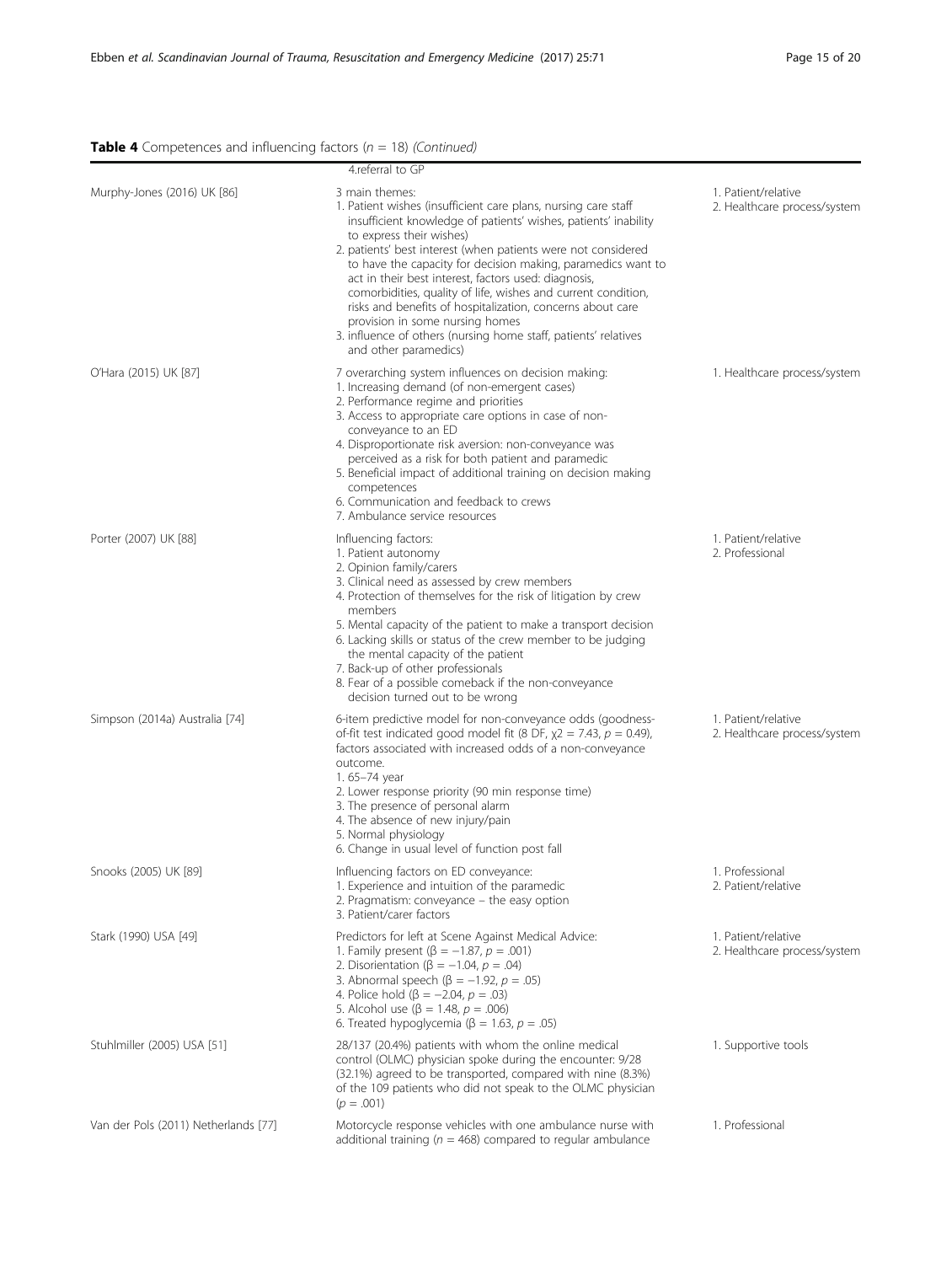# **Table 4** Competences and influencing factors ( $n = 18$ ) (Continued)

|                                      | 4.referral to GP                                                                                                                                                                                                                                                                                                                                                                                                                                                                                                                                                                                                                       |                                                     |
|--------------------------------------|----------------------------------------------------------------------------------------------------------------------------------------------------------------------------------------------------------------------------------------------------------------------------------------------------------------------------------------------------------------------------------------------------------------------------------------------------------------------------------------------------------------------------------------------------------------------------------------------------------------------------------------|-----------------------------------------------------|
| Murphy-Jones (2016) UK [86]          | 3 main themes:<br>1. Patient wishes (insufficient care plans, nursing care staff<br>insufficient knowledge of patients' wishes, patients' inability<br>to express their wishes)<br>2. patients' best interest (when patients were not considered<br>to have the capacity for decision making, paramedics want to<br>act in their best interest, factors used: diagnosis,<br>comorbidities, quality of life, wishes and current condition,<br>risks and benefits of hospitalization, concerns about care<br>provision in some nursing homes<br>3. influence of others (nursing home staff, patients' relatives<br>and other paramedics) | 1. Patient/relative<br>2. Healthcare process/system |
| O'Hara (2015) UK [87]                | 7 overarching system influences on decision making:<br>1. Increasing demand (of non-emergent cases)<br>2. Performance regime and priorities<br>3. Access to appropriate care options in case of non-<br>conveyance to an ED<br>4. Disproportionate risk aversion: non-conveyance was<br>perceived as a risk for both patient and paramedic<br>5. Beneficial impact of additional training on decision making<br>competences<br>6. Communication and feedback to crews<br>7. Ambulance service resources                                                                                                                                | 1. Healthcare process/system                        |
| Porter (2007) UK [88]                | Influencing factors:<br>1. Patient autonomy<br>2. Opinion family/carers<br>3. Clinical need as assessed by crew members<br>4. Protection of themselves for the risk of litigation by crew<br>members<br>5. Mental capacity of the patient to make a transport decision<br>6. Lacking skills or status of the crew member to be judging<br>the mental capacity of the patient<br>7. Back-up of other professionals<br>8. Fear of a possible comeback if the non-conveyance<br>decision turned out to be wrong                                                                                                                           | 1. Patient/relative<br>2. Professional              |
| Simpson (2014a) Australia [74]       | 6-item predictive model for non-conveyance odds (goodness-<br>of-fit test indicated good model fit (8 DF, $x^2 = 7.43$ , $p = 0.49$ ),<br>factors associated with increased odds of a non-conveyance<br>outcome.<br>1.65-74 year<br>2. Lower response priority (90 min response time)<br>3. The presence of personal alarm<br>4. The absence of new injury/pain<br>5. Normal physiology<br>6. Change in usual level of function post fall                                                                                                                                                                                              | 1. Patient/relative<br>2. Healthcare process/system |
| Snooks (2005) UK [89]                | Influencing factors on ED conveyance:<br>1. Experience and intuition of the paramedic<br>2. Pragmatism: conveyance – the easy option<br>3. Patient/carer factors                                                                                                                                                                                                                                                                                                                                                                                                                                                                       | 1. Professional<br>2. Patient/relative              |
| Stark (1990) USA [49]                | Predictors for left at Scene Against Medical Advice:<br>1. Family present ( $\beta = -1.87$ , $p = .001$ )<br>2. Disorientation ( $\beta = -1.04$ , $p = .04$ )<br>3. Abnormal speech (β = -1.92, $p = .05$ )<br>4. Police hold ( $\beta = -2.04$ , $p = .03$ )<br>5. Alcohol use (β = 1.48, <i>p</i> = .006)<br>6. Treated hypoglycemia ( $\beta$ = 1.63, $p$ = .05)                                                                                                                                                                                                                                                                  | 1. Patient/relative<br>2. Healthcare process/system |
| Stuhlmiller (2005) USA [51]          | 28/137 (20.4%) patients with whom the online medical<br>control (OLMC) physician spoke during the encounter: 9/28<br>(32.1%) agreed to be transported, compared with nine (8.3%)<br>of the 109 patients who did not speak to the OLMC physician<br>$(p=.001)$                                                                                                                                                                                                                                                                                                                                                                          | 1. Supportive tools                                 |
| Van der Pols (2011) Netherlands [77] | Motorcycle response vehicles with one ambulance nurse with<br>additional training ( $n = 468$ ) compared to regular ambulance                                                                                                                                                                                                                                                                                                                                                                                                                                                                                                          | 1. Professional                                     |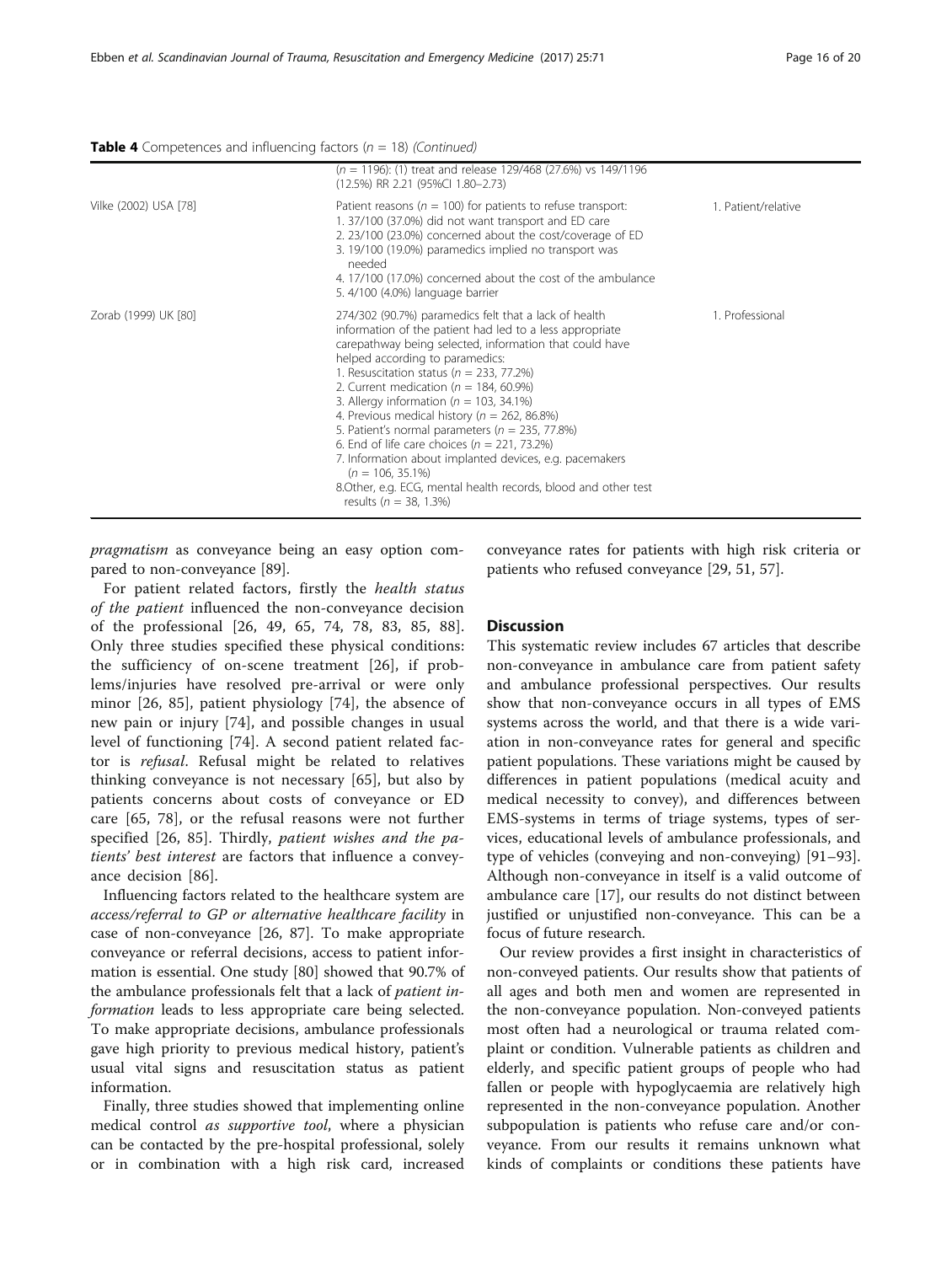### **Table 4** Competences and influencing factors ( $n = 18$ ) (Continued)

|                       | $(n = 1196)$ : (1) treat and release 129/468 (27.6%) vs 149/1196<br>(12.5%) RR 2.21 (95%Cl 1.80-2.73)                                                                                                                                                                                                                                                                                                                                                                                                                                                                                                                                                                                                             |                     |
|-----------------------|-------------------------------------------------------------------------------------------------------------------------------------------------------------------------------------------------------------------------------------------------------------------------------------------------------------------------------------------------------------------------------------------------------------------------------------------------------------------------------------------------------------------------------------------------------------------------------------------------------------------------------------------------------------------------------------------------------------------|---------------------|
| Vilke (2002) USA [78] | Patient reasons ( $n = 100$ ) for patients to refuse transport:<br>1.37/100 (37.0%) did not want transport and ED care<br>2. 23/100 (23.0%) concerned about the cost/coverage of ED<br>3. 19/100 (19.0%) paramedics implied no transport was<br>needed<br>4. 17/100 (17.0%) concerned about the cost of the ambulance<br>5.4/100 (4.0%) language barrier                                                                                                                                                                                                                                                                                                                                                          | 1. Patient/relative |
| Zorab (1999) UK [80]  | 274/302 (90.7%) paramedics felt that a lack of health<br>information of the patient had led to a less appropriate<br>carepathway being selected, information that could have<br>helped according to paramedics:<br>1. Resuscitation status ( $n = 233, 77.2\%)$<br>2. Current medication ( $n = 184, 60.9\%$ )<br>3. Allergy information ( $n = 103, 34.1\%$ )<br>4. Previous medical history ( $n = 262, 86.8\%$ )<br>5. Patient's normal parameters ( $n = 235, 77.8\%)$<br>6. End of life care choices ( $n = 221, 73.2\%)$<br>7. Information about implanted devices, e.g. pacemakers<br>$(n = 106, 35.1\%)$<br>8. Other, e.g. ECG, mental health records, blood and other test<br>results ( $n = 38, 1.3\%)$ | 1. Professional     |

pragmatism as conveyance being an easy option compared to non-conveyance [\[89](#page-19-0)].

For patient related factors, firstly the health status of the patient influenced the non-conveyance decision of the professional [[26, 49,](#page-18-0) [65, 74, 78, 83, 85](#page-19-0), [88](#page-19-0)]. Only three studies specified these physical conditions: the sufficiency of on-scene treatment [[26](#page-18-0)], if problems/injuries have resolved pre-arrival or were only minor [\[26](#page-18-0), [85\]](#page-19-0), patient physiology [\[74](#page-19-0)], the absence of new pain or injury [[74\]](#page-19-0), and possible changes in usual level of functioning [[74\]](#page-19-0). A second patient related factor is refusal. Refusal might be related to relatives thinking conveyance is not necessary [[65\]](#page-19-0), but also by patients concerns about costs of conveyance or ED care [[65, 78\]](#page-19-0), or the refusal reasons were not further specified [[26,](#page-18-0) [85](#page-19-0)]. Thirdly, patient wishes and the patients' best interest are factors that influence a conveyance decision [[86](#page-19-0)].

Influencing factors related to the healthcare system are access/referral to GP or alternative healthcare facility in case of non-conveyance [[26,](#page-18-0) [87](#page-19-0)]. To make appropriate conveyance or referral decisions, access to patient information is essential. One study [[80](#page-19-0)] showed that 90.7% of the ambulance professionals felt that a lack of patient information leads to less appropriate care being selected. To make appropriate decisions, ambulance professionals gave high priority to previous medical history, patient's usual vital signs and resuscitation status as patient information.

Finally, three studies showed that implementing online medical control as supportive tool, where a physician can be contacted by the pre-hospital professional, solely or in combination with a high risk card, increased

conveyance rates for patients with high risk criteria or patients who refused conveyance [[29](#page-18-0), [51](#page-18-0), [57](#page-19-0)].

## **Discussion**

This systematic review includes 67 articles that describe non-conveyance in ambulance care from patient safety and ambulance professional perspectives. Our results show that non-conveyance occurs in all types of EMS systems across the world, and that there is a wide variation in non-conveyance rates for general and specific patient populations. These variations might be caused by differences in patient populations (medical acuity and medical necessity to convey), and differences between EMS-systems in terms of triage systems, types of services, educational levels of ambulance professionals, and type of vehicles (conveying and non-conveying) [[91](#page-19-0)–[93](#page-19-0)]. Although non-conveyance in itself is a valid outcome of ambulance care [\[17](#page-18-0)], our results do not distinct between justified or unjustified non-conveyance. This can be a focus of future research.

Our review provides a first insight in characteristics of non-conveyed patients. Our results show that patients of all ages and both men and women are represented in the non-conveyance population. Non-conveyed patients most often had a neurological or trauma related complaint or condition. Vulnerable patients as children and elderly, and specific patient groups of people who had fallen or people with hypoglycaemia are relatively high represented in the non-conveyance population. Another subpopulation is patients who refuse care and/or conveyance. From our results it remains unknown what kinds of complaints or conditions these patients have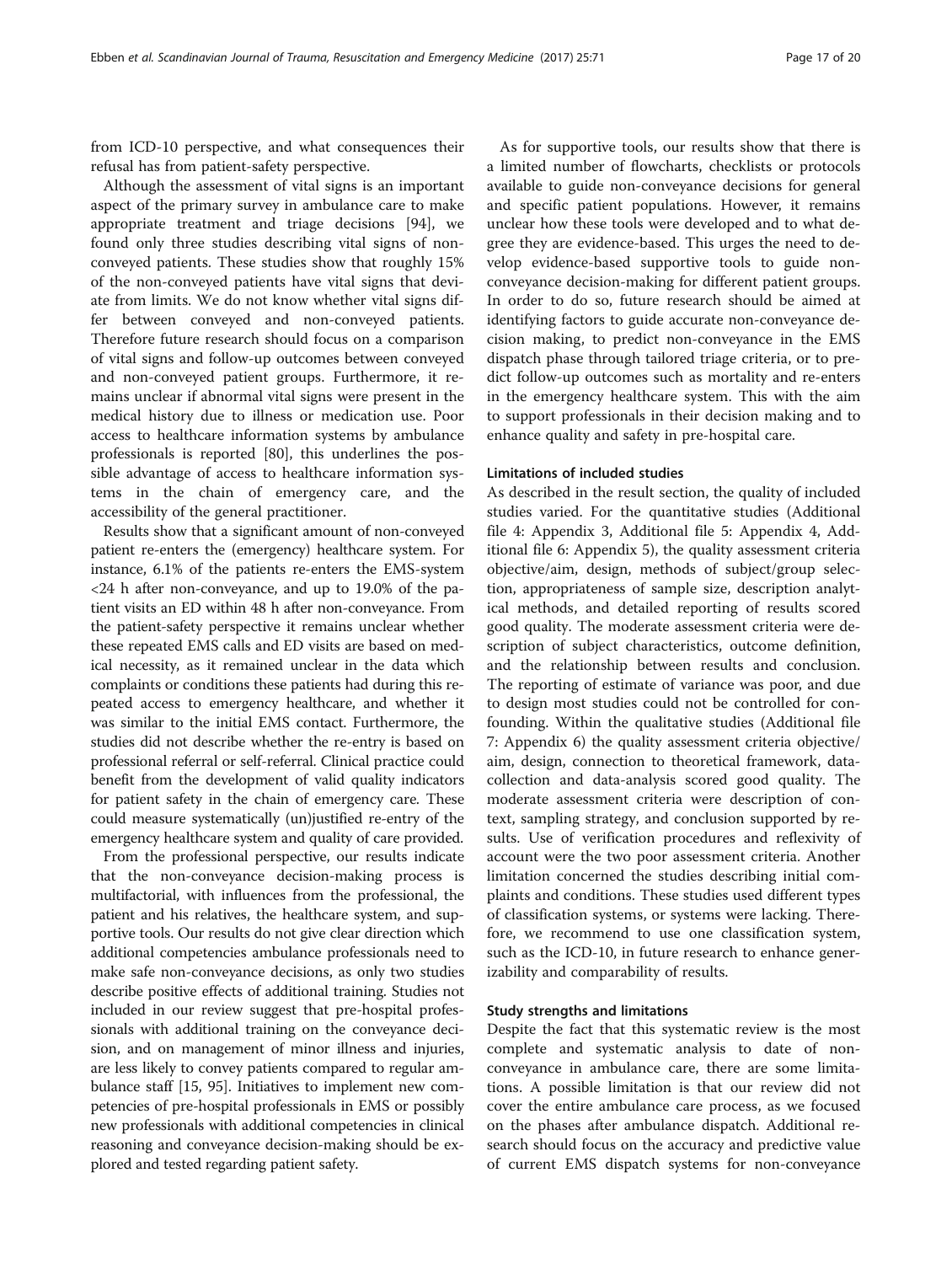from ICD-10 perspective, and what consequences their refusal has from patient-safety perspective.

Although the assessment of vital signs is an important aspect of the primary survey in ambulance care to make appropriate treatment and triage decisions [\[94\]](#page-19-0), we found only three studies describing vital signs of nonconveyed patients. These studies show that roughly 15% of the non-conveyed patients have vital signs that deviate from limits. We do not know whether vital signs differ between conveyed and non-conveyed patients. Therefore future research should focus on a comparison of vital signs and follow-up outcomes between conveyed and non-conveyed patient groups. Furthermore, it remains unclear if abnormal vital signs were present in the medical history due to illness or medication use. Poor access to healthcare information systems by ambulance professionals is reported [\[80\]](#page-19-0), this underlines the possible advantage of access to healthcare information systems in the chain of emergency care, and the accessibility of the general practitioner.

Results show that a significant amount of non-conveyed patient re-enters the (emergency) healthcare system. For instance, 6.1% of the patients re-enters the EMS-system <24 h after non-conveyance, and up to 19.0% of the patient visits an ED within 48 h after non-conveyance. From the patient-safety perspective it remains unclear whether these repeated EMS calls and ED visits are based on medical necessity, as it remained unclear in the data which complaints or conditions these patients had during this repeated access to emergency healthcare, and whether it was similar to the initial EMS contact. Furthermore, the studies did not describe whether the re-entry is based on professional referral or self-referral. Clinical practice could benefit from the development of valid quality indicators for patient safety in the chain of emergency care. These could measure systematically (un)justified re-entry of the emergency healthcare system and quality of care provided.

From the professional perspective, our results indicate that the non-conveyance decision-making process is multifactorial, with influences from the professional, the patient and his relatives, the healthcare system, and supportive tools. Our results do not give clear direction which additional competencies ambulance professionals need to make safe non-conveyance decisions, as only two studies describe positive effects of additional training. Studies not included in our review suggest that pre-hospital professionals with additional training on the conveyance decision, and on management of minor illness and injuries, are less likely to convey patients compared to regular ambulance staff [[15](#page-18-0), [95\]](#page-19-0). Initiatives to implement new competencies of pre-hospital professionals in EMS or possibly new professionals with additional competencies in clinical reasoning and conveyance decision-making should be explored and tested regarding patient safety.

As for supportive tools, our results show that there is a limited number of flowcharts, checklists or protocols available to guide non-conveyance decisions for general and specific patient populations. However, it remains unclear how these tools were developed and to what degree they are evidence-based. This urges the need to develop evidence-based supportive tools to guide nonconveyance decision-making for different patient groups. In order to do so, future research should be aimed at identifying factors to guide accurate non-conveyance decision making, to predict non-conveyance in the EMS dispatch phase through tailored triage criteria, or to predict follow-up outcomes such as mortality and re-enters in the emergency healthcare system. This with the aim to support professionals in their decision making and to enhance quality and safety in pre-hospital care.

## Limitations of included studies

As described in the result section, the quality of included studies varied. For the quantitative studies (Additional file [4](#page-17-0): Appendix 3, Additional file [5](#page-17-0): Appendix 4, Additional file [6:](#page-17-0) Appendix 5), the quality assessment criteria objective/aim, design, methods of subject/group selection, appropriateness of sample size, description analytical methods, and detailed reporting of results scored good quality. The moderate assessment criteria were description of subject characteristics, outcome definition, and the relationship between results and conclusion. The reporting of estimate of variance was poor, and due to design most studies could not be controlled for confounding. Within the qualitative studies (Additional file [7:](#page-17-0) Appendix 6) the quality assessment criteria objective/ aim, design, connection to theoretical framework, datacollection and data-analysis scored good quality. The moderate assessment criteria were description of context, sampling strategy, and conclusion supported by results. Use of verification procedures and reflexivity of account were the two poor assessment criteria. Another limitation concerned the studies describing initial complaints and conditions. These studies used different types of classification systems, or systems were lacking. Therefore, we recommend to use one classification system, such as the ICD-10, in future research to enhance generizability and comparability of results.

## Study strengths and limitations

Despite the fact that this systematic review is the most complete and systematic analysis to date of nonconveyance in ambulance care, there are some limitations. A possible limitation is that our review did not cover the entire ambulance care process, as we focused on the phases after ambulance dispatch. Additional research should focus on the accuracy and predictive value of current EMS dispatch systems for non-conveyance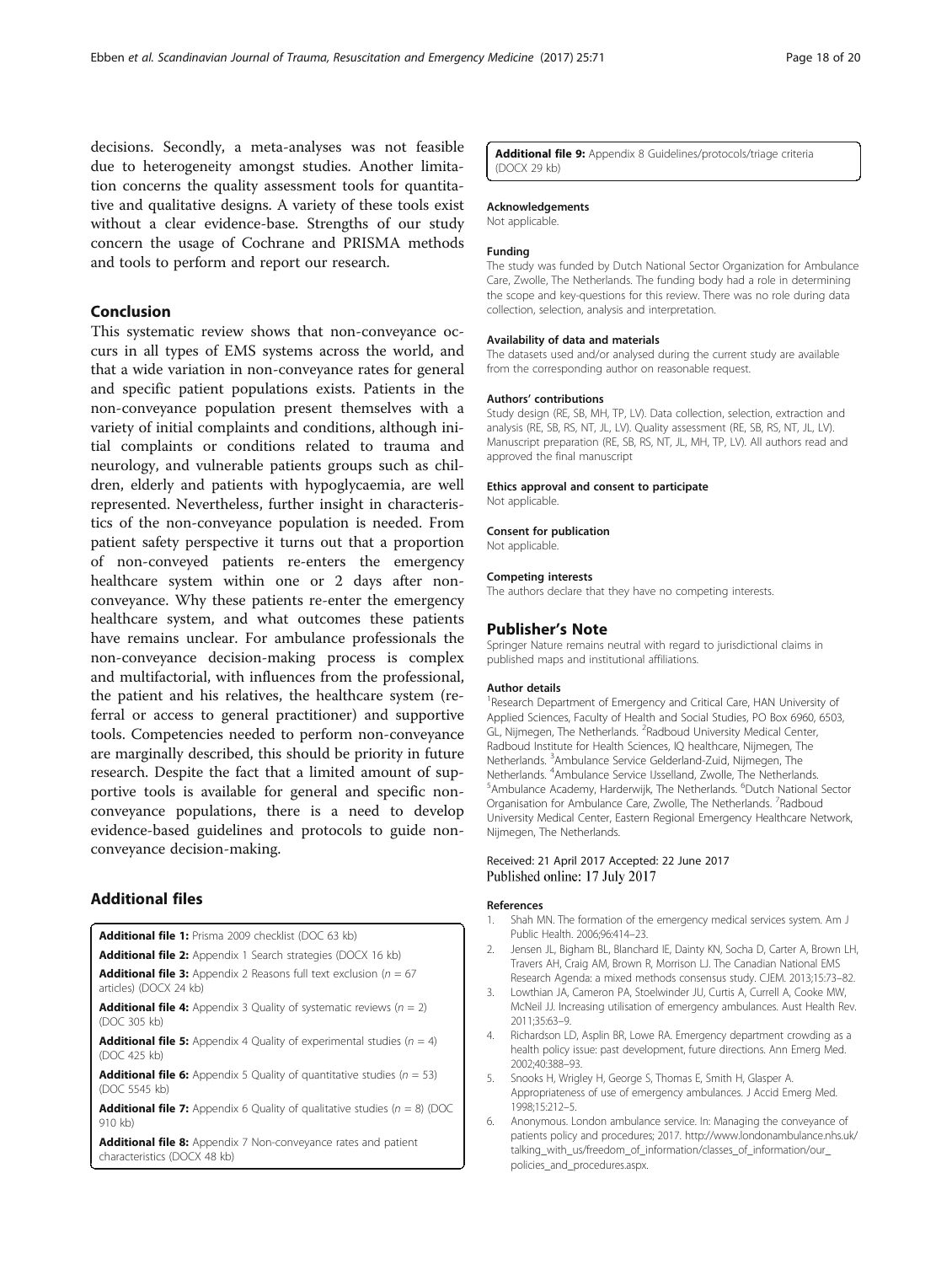<span id="page-17-0"></span>decisions. Secondly, a meta-analyses was not feasible due to heterogeneity amongst studies. Another limitation concerns the quality assessment tools for quantitative and qualitative designs. A variety of these tools exist without a clear evidence-base. Strengths of our study concern the usage of Cochrane and PRISMA methods and tools to perform and report our research.

# Conclusion

This systematic review shows that non-conveyance occurs in all types of EMS systems across the world, and that a wide variation in non-conveyance rates for general and specific patient populations exists. Patients in the non-conveyance population present themselves with a variety of initial complaints and conditions, although initial complaints or conditions related to trauma and neurology, and vulnerable patients groups such as children, elderly and patients with hypoglycaemia, are well represented. Nevertheless, further insight in characteristics of the non-conveyance population is needed. From patient safety perspective it turns out that a proportion of non-conveyed patients re-enters the emergency healthcare system within one or 2 days after nonconveyance. Why these patients re-enter the emergency healthcare system, and what outcomes these patients have remains unclear. For ambulance professionals the non-conveyance decision-making process is complex and multifactorial, with influences from the professional, the patient and his relatives, the healthcare system (referral or access to general practitioner) and supportive tools. Competencies needed to perform non-conveyance are marginally described, this should be priority in future research. Despite the fact that a limited amount of supportive tools is available for general and specific nonconveyance populations, there is a need to develop evidence-based guidelines and protocols to guide nonconveyance decision-making.

# Additional files

[Additional file 1:](dx.doi.org/10.1186/s13049-017-0409-6) Prisma 2009 checklist (DOC 63 kb)

[Additional file 2:](dx.doi.org/10.1186/s13049-017-0409-6) Appendix 1 Search strategies (DOCX 16 kb) **[Additional file 3:](dx.doi.org/10.1186/s13049-017-0409-6)** Appendix 2 Reasons full text exclusion ( $n = 67$ ) articles) (DOCX 24 kb)

**[Additional file 4:](dx.doi.org/10.1186/s13049-017-0409-6)** Appendix 3 Quality of systematic reviews  $(n = 2)$ (DOC 305 kb)

**[Additional file 5:](dx.doi.org/10.1186/s13049-017-0409-6)** Appendix 4 Quality of experimental studies  $(n = 4)$ (DOC 425 kb)

**[Additional file 6:](dx.doi.org/10.1186/s13049-017-0409-6)** Appendix 5 Quality of quantitative studies ( $n = 53$ ) (DOC 5545 kb)

**[Additional file 7:](dx.doi.org/10.1186/s13049-017-0409-6)** Appendix 6 Quality of qualitative studies ( $n = 8$ ) (DOC 910 kb)

[Additional file 8:](dx.doi.org/10.1186/s13049-017-0409-6) Appendix 7 Non-conveyance rates and patient characteristics (DOCX 48 kb)

[Additional file 9:](dx.doi.org/10.1186/s13049-017-0409-6) Appendix 8 Guidelines/protocols/triage criteria (DOCX 29 kb)

## Acknowledgements

Not applicable.

### Funding

The study was funded by Dutch National Sector Organization for Ambulance Care, Zwolle, The Netherlands. The funding body had a role in determining the scope and key-questions for this review. There was no role during data collection, selection, analysis and interpretation.

#### Availability of data and materials

The datasets used and/or analysed during the current study are available from the corresponding author on reasonable request.

#### Authors' contributions

Study design (RE, SB, MH, TP, LV). Data collection, selection, extraction and analysis (RE, SB, RS, NT, JL, LV). Quality assessment (RE, SB, RS, NT, JL, LV). Manuscript preparation (RE, SB, RS, NT, JL, MH, TP, LV). All authors read and approved the final manuscript

#### Ethics approval and consent to participate

Not applicable.

## Consent for publication

Not applicable.

#### Competing interests

The authors declare that they have no competing interests.

#### Publisher's Note

Springer Nature remains neutral with regard to jurisdictional claims in published maps and institutional affiliations.

#### Author details

<sup>1</sup> Research Department of Emergency and Critical Care, HAN University of Applied Sciences, Faculty of Health and Social Studies, PO Box 6960, 6503, GL, Nijmegen, The Netherlands. <sup>2</sup>Radboud University Medical Center, Radboud Institute for Health Sciences, IQ healthcare, Nijmegen, The Netherlands. <sup>3</sup>Ambulance Service Gelderland-Zuid, Nijmegen, The Netherlands. <sup>4</sup>Ambulance Service IJsselland, Zwolle, The Netherlands<br><sup>5</sup>Ambulance Academy, Hardenwijk The Netherlands. <sup>6</sup>Dutch National Ambulance Academy, Harderwijk, The Netherlands. <sup>6</sup>Dutch National Sector Organisation for Ambulance Care, Zwolle, The Netherlands. <sup>7</sup>Radboud University Medical Center, Eastern Regional Emergency Healthcare Network, Nijmegen, The Netherlands.

## Received: 21 April 2017 Accepted: 22 June 2017 Published online: 17 July 2017

#### References

- 1. Shah MN. The formation of the emergency medical services system. Am J Public Health. 2006;96:414–23.
- 2. Jensen JL, Bigham BL, Blanchard IE, Dainty KN, Socha D, Carter A, Brown LH, Travers AH, Craig AM, Brown R, Morrison LJ. The Canadian National EMS Research Agenda: a mixed methods consensus study. CJEM. 2013;15:73–82.
- 3. Lowthian JA, Cameron PA, Stoelwinder JU, Curtis A, Currell A, Cooke MW, McNeil JJ. Increasing utilisation of emergency ambulances. Aust Health Rev. 2011;35:63–9.
- Richardson LD, Asplin BR, Lowe RA. Emergency department crowding as a health policy issue: past development, future directions. Ann Emerg Med. 2002;40:388–93.
- 5. Snooks H, Wrigley H, George S, Thomas E, Smith H, Glasper A. Appropriateness of use of emergency ambulances. J Accid Emerg Med. 1998;15:212–5.
- 6. Anonymous. London ambulance service. In: Managing the conveyance of patients policy and procedures; 2017. [http://www.londonambulance.nhs.uk/](http://www.londonambulance.nhs.uk/talking_with_us/freedom_of_information/classes_of_information/our_policies_and_procedures.aspx) [talking\\_with\\_us/freedom\\_of\\_information/classes\\_of\\_information/our\\_](http://www.londonambulance.nhs.uk/talking_with_us/freedom_of_information/classes_of_information/our_policies_and_procedures.aspx) [policies\\_and\\_procedures.aspx.](http://www.londonambulance.nhs.uk/talking_with_us/freedom_of_information/classes_of_information/our_policies_and_procedures.aspx)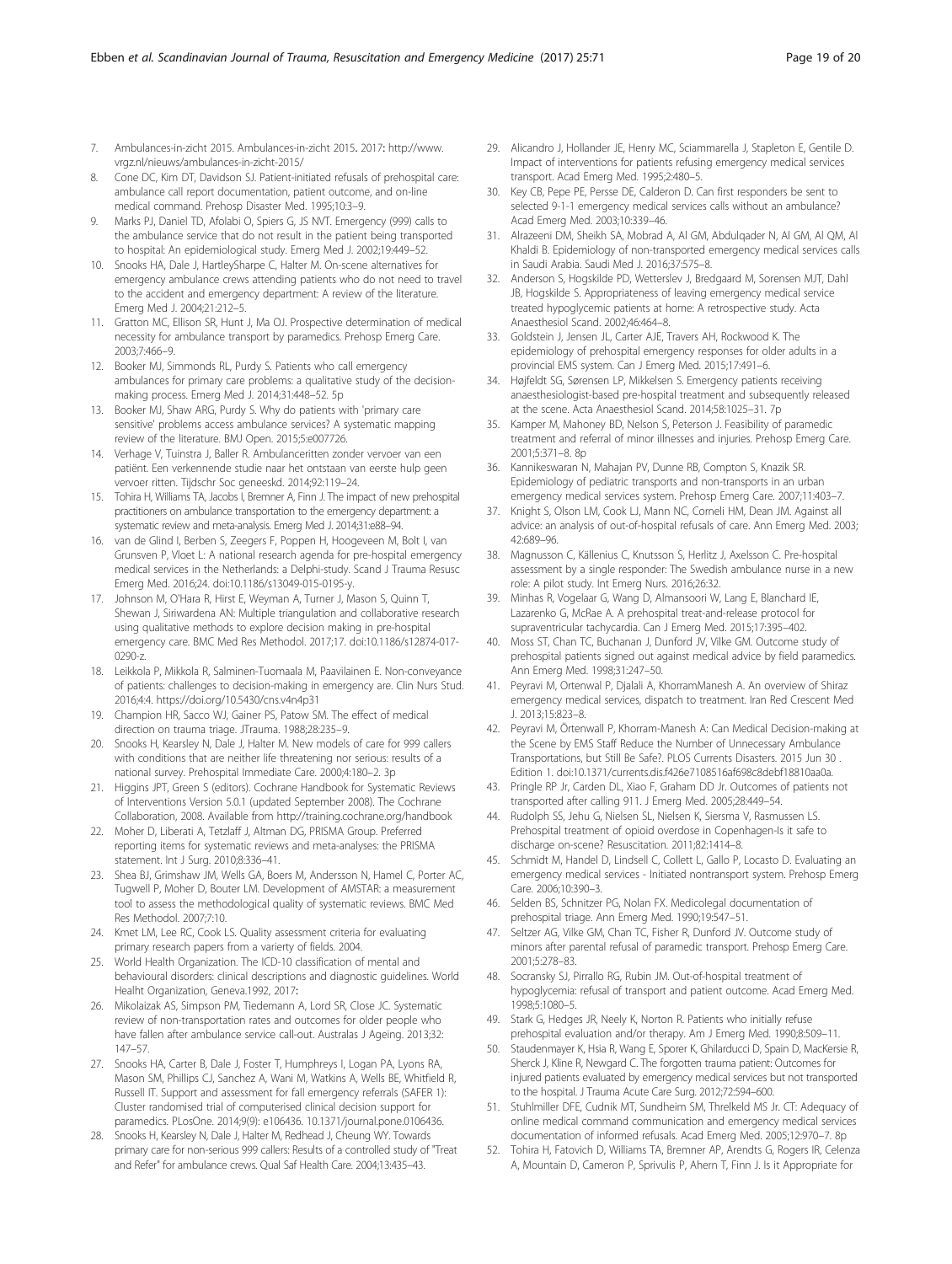- <span id="page-18-0"></span>7. Ambulances-in-zicht 2015. Ambulances-in-zicht 2015. 2017: [http://www.](http://www.vrgz.nl/nieuws/ambulances-in-zicht-2015/) [vrgz.nl/nieuws/ambulances-in-zicht-2015/](http://www.vrgz.nl/nieuws/ambulances-in-zicht-2015/)
- 8. Cone DC, Kim DT, Davidson SJ. Patient-initiated refusals of prehospital care: ambulance call report documentation, patient outcome, and on-line medical command. Prehosp Disaster Med. 1995;10:3–9.
- 9. Marks PJ, Daniel TD, Afolabi O, Spiers G, JS NVT. Emergency (999) calls to the ambulance service that do not result in the patient being transported to hospital: An epidemiological study. Emerg Med J. 2002;19:449–52.
- 10. Snooks HA, Dale J, HartleySharpe C, Halter M. On-scene alternatives for emergency ambulance crews attending patients who do not need to travel to the accident and emergency department: A review of the literature. Emerg Med J. 2004;21:212–5.
- 11. Gratton MC, Ellison SR, Hunt J, Ma OJ. Prospective determination of medical necessity for ambulance transport by paramedics. Prehosp Emerg Care. 2003;7:466–9.
- 12. Booker MJ, Simmonds RL, Purdy S. Patients who call emergency ambulances for primary care problems: a qualitative study of the decisionmaking process. Emerg Med J. 2014;31:448–52. 5p
- 13. Booker MJ, Shaw ARG, Purdy S. Why do patients with 'primary care sensitive' problems access ambulance services? A systematic mapping review of the literature. BMJ Open. 2015;5:e007726.
- 14. Verhage V, Tuinstra J, Baller R. Ambulanceritten zonder vervoer van een patiënt. Een verkennende studie naar het ontstaan van eerste hulp geen vervoer ritten. Tijdschr Soc geneeskd. 2014;92:119–24.
- 15. Tohira H, Williams TA, Jacobs I, Bremner A, Finn J. The impact of new prehospital practitioners on ambulance transportation to the emergency department: a systematic review and meta-analysis. Emerg Med J. 2014;31:e88–94.
- 16. van de Glind I, Berben S, Zeegers F, Poppen H, Hoogeveen M, Bolt I, van Grunsven P, Vloet L: A national research agenda for pre-hospital emergency medical services in the Netherlands: a Delphi-study. Scand J Trauma Resusc Emerg Med. 2016;24. doi:[10.1186/s13049-015-0195-y.](http://dx.doi.org/10.1186/s13049-015-0195-y)
- 17. Johnson M, O'Hara R, Hirst E, Weyman A, Turner J, Mason S, Quinn T, Shewan J, Siriwardena AN: Multiple triangulation and collaborative research using qualitative methods to explore decision making in pre-hospital emergency care. BMC Med Res Methodol. 2017;17. doi[:10.1186/s12874-017-](http://dx.doi.org/10.1186/s12874-017-0290-z) [0290-z](http://dx.doi.org/10.1186/s12874-017-0290-z).
- 18. Leikkola P, Mikkola R, Salminen-Tuomaala M, Paavilainen E. Non-conveyance of patients: challenges to decision-making in emergency are. Clin Nurs Stud. 2016;4:4.<https://doi.org/10.5430/cns.v4n4p31>
- 19. Champion HR, Sacco WJ, Gainer PS, Patow SM. The effect of medical direction on trauma triage. JTrauma. 1988;28:235–9.
- 20. Snooks H, Kearsley N, Dale J, Halter M. New models of care for 999 callers with conditions that are neither life threatening nor serious: results of a national survey. Prehospital Immediate Care. 2000;4:180–2. 3p
- 21. Higgins JPT, Green S (editors). Cochrane Handbook for Systematic Reviews of Interventions Version 5.0.1 (updated September 2008). The Cochrane Collaboration, 2008. Available from<http://training.cochrane.org/handbook>
- 22. Moher D, Liberati A, Tetzlaff J, Altman DG, PRISMA Group. Preferred reporting items for systematic reviews and meta-analyses: the PRISMA statement. Int J Surg. 2010;8:336–41.
- 23. Shea BJ, Grimshaw JM, Wells GA, Boers M, Andersson N, Hamel C, Porter AC, Tugwell P, Moher D, Bouter LM. Development of AMSTAR: a measurement tool to assess the methodological quality of systematic reviews. BMC Med Res Methodol. 2007;7:10.
- 24. Kmet LM, Lee RC, Cook LS. Quality assessment criteria for evaluating primary research papers from a varierty of fields. 2004.
- 25. World Health Organization. The ICD-10 classification of mental and behavioural disorders: clinical descriptions and diagnostic guidelines. World Healht Organization, Geneva.1992, 2017:
- 26. Mikolaizak AS, Simpson PM, Tiedemann A, Lord SR, Close JC. Systematic review of non-transportation rates and outcomes for older people who have fallen after ambulance service call-out. Australas J Ageing. 2013;32: 147–57.
- 27. Snooks HA, Carter B, Dale J, Foster T, Humphreys I, Logan PA, Lyons RA, Mason SM, Phillips CJ, Sanchez A, Wani M, Watkins A, Wells BE, Whitfield R, Russell IT. Support and assessment for fall emergency referrals (SAFER 1): Cluster randomised trial of computerised clinical decision support for paramedics. PLosOne. 2014;9(9): e106436. [10.1371/journal.pone.0106436.](http://dx.doi.org/10.1371/journal.pone.0106436)
- 28. Snooks H, Kearsley N, Dale J, Halter M, Redhead J, Cheung WY. Towards primary care for non-serious 999 callers: Results of a controlled study of "Treat and Refer" for ambulance crews. Qual Saf Health Care. 2004;13:435–43.
- 29. Alicandro J, Hollander JE, Henry MC, Sciammarella J, Stapleton E, Gentile D. Impact of interventions for patients refusing emergency medical services transport. Acad Emerg Med. 1995;2:480–5.
- 30. Key CB, Pepe PE, Persse DE, Calderon D. Can first responders be sent to selected 9-1-1 emergency medical services calls without an ambulance? Acad Emerg Med. 2003;10:339–46.
- 31. Alrazeeni DM, Sheikh SA, Mobrad A, Al GM, Abdulqader N, Al GM, Al QM, Al Khaldi B. Epidemiology of non-transported emergency medical services calls in Saudi Arabia. Saudi Med J. 2016;37:575–8.
- 32. Anderson S, Hogskilde PD, Wetterslev J, Bredgaard M, Sorensen MJT, Dahl JB, Hogskilde S. Appropriateness of leaving emergency medical service treated hypoglycemic patients at home: A retrospective study. Acta Anaesthesiol Scand. 2002;46:464–8.
- 33. Goldstein J, Jensen JL, Carter AJE, Travers AH, Rockwood K. The epidemiology of prehospital emergency responses for older adults in a provincial EMS system. Can J Emerg Med. 2015;17:491–6.
- 34. Højfeldt SG, Sørensen LP, Mikkelsen S. Emergency patients receiving anaesthesiologist-based pre-hospital treatment and subsequently released at the scene. Acta Anaesthesiol Scand. 2014;58:1025–31. 7p
- 35. Kamper M, Mahoney BD, Nelson S, Peterson J. Feasibility of paramedic treatment and referral of minor illnesses and injuries. Prehosp Emerg Care. 2001;5:371–8. 8p
- 36. Kannikeswaran N, Mahajan PV, Dunne RB, Compton S, Knazik SR. Epidemiology of pediatric transports and non-transports in an urban emergency medical services system. Prehosp Emerg Care. 2007;11:403–7.
- 37. Knight S, Olson LM, Cook LJ, Mann NC, Corneli HM, Dean JM. Against all advice: an analysis of out-of-hospital refusals of care. Ann Emerg Med. 2003; 42:689–96.
- 38. Magnusson C, Källenius C, Knutsson S, Herlitz J, Axelsson C. Pre-hospital assessment by a single responder: The Swedish ambulance nurse in a new role: A pilot study. Int Emerg Nurs. 2016;26:32.
- 39. Minhas R, Vogelaar G, Wang D, Almansoori W, Lang E, Blanchard IE, Lazarenko G, McRae A. A prehospital treat-and-release protocol for supraventricular tachycardia. Can J Emerg Med. 2015;17:395–402.
- 40. Moss ST, Chan TC, Buchanan J, Dunford JV, Vilke GM. Outcome study of prehospital patients signed out against medical advice by field paramedics. Ann Emerg Med. 1998;31:247–50.
- 41. Peyravi M, Ortenwal P, Djalali A, KhorramManesh A. An overview of Shiraz emergency medical services, dispatch to treatment. Iran Red Crescent Med J. 2013;15:823–8.
- 42. Peyravi M, Örtenwall P, Khorram-Manesh A: Can Medical Decision-making at the Scene by EMS Staff Reduce the Number of Unnecessary Ambulance Transportations, but Still Be Safe?. PLOS Currents Disasters. 2015 Jun 30 . Edition 1. doi:[10.1371/currents.dis.f426e7108516af698c8debf18810aa0a](http://dx.doi.org/10.1371/currents.dis.f426e7108516af698c8debf18810aa0a).
- 43. Pringle RP Jr, Carden DL, Xiao F, Graham DD Jr. Outcomes of patients not transported after calling 911. J Emerg Med. 2005;28:449–54.
- 44. Rudolph SS, Jehu G, Nielsen SL, Nielsen K, Siersma V, Rasmussen LS. Prehospital treatment of opioid overdose in Copenhagen-Is it safe to discharge on-scene? Resuscitation. 2011;82:1414–8.
- 45. Schmidt M, Handel D, Lindsell C, Collett L, Gallo P, Locasto D. Evaluating an emergency medical services - Initiated nontransport system. Prehosp Emerg Care. 2006;10:390–3.
- 46. Selden BS, Schnitzer PG, Nolan FX. Medicolegal documentation of prehospital triage. Ann Emerg Med. 1990;19:547–51.
- 47. Seltzer AG, Vilke GM, Chan TC, Fisher R, Dunford JV. Outcome study of minors after parental refusal of paramedic transport. Prehosp Emerg Care. 2001;5:278–83.
- 48. Socransky SJ, Pirrallo RG, Rubin JM. Out-of-hospital treatment of hypoglycemia: refusal of transport and patient outcome. Acad Emerg Med. 1998;5:1080–5.
- 49. Stark G, Hedges JR, Neely K, Norton R. Patients who initially refuse prehospital evaluation and/or therapy. Am J Emerg Med. 1990;8:509–11.
- 50. Staudenmayer K, Hsia R, Wang E, Sporer K, Ghilarducci D, Spain D, MacKersie R, Sherck J, Kline R, Newgard C. The forgotten trauma patient: Outcomes for injured patients evaluated by emergency medical services but not transported to the hospital. J Trauma Acute Care Surg. 2012;72:594–600.
- 51. Stuhlmiller DFE, Cudnik MT, Sundheim SM, Threlkeld MS Jr. CT: Adequacy of online medical command communication and emergency medical services documentation of informed refusals. Acad Emerg Med. 2005;12:970–7. 8p
- 52. Tohira H, Fatovich D, Williams TA, Bremner AP, Arendts G, Rogers IR, Celenza A, Mountain D, Cameron P, Sprivulis P, Ahern T, Finn J. Is it Appropriate for